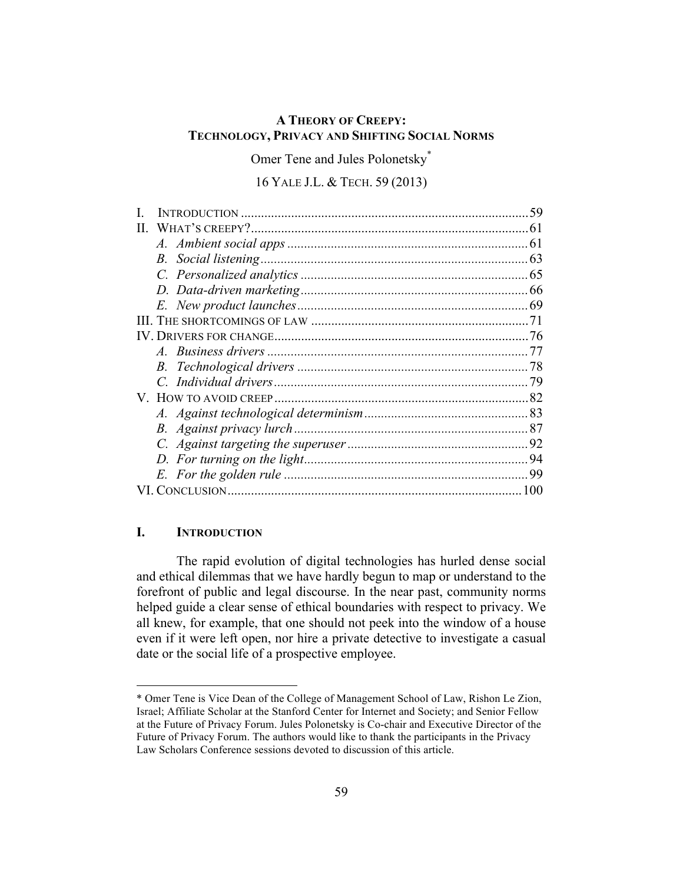# **A THEORY OF CREEPY: TECHNOLOGY, PRIVACY AND SHIFTING SOCIAL NORMS**

Omer Tene and Jules Polonetsky\*

## 16 YALE J.L. & TECH. 59 (2013)

|    |             | -59 |
|----|-------------|-----|
| Н. |             | 61  |
|    |             | 61  |
|    |             | 63  |
|    |             |     |
|    |             |     |
|    |             |     |
|    |             |     |
|    |             |     |
|    |             |     |
|    | $B_{\cdot}$ |     |
|    |             | 79  |
|    |             | 82  |
|    |             |     |
|    | $B_{\cdot}$ |     |
|    |             |     |
|    |             |     |
|    |             | 99  |
|    |             | 100 |

## **I. INTRODUCTION**

 $\overline{a}$ 

The rapid evolution of digital technologies has hurled dense social and ethical dilemmas that we have hardly begun to map or understand to the forefront of public and legal discourse. In the near past, community norms helped guide a clear sense of ethical boundaries with respect to privacy. We all knew, for example, that one should not peek into the window of a house even if it were left open, nor hire a private detective to investigate a casual date or the social life of a prospective employee.

<sup>\*</sup> Omer Tene is Vice Dean of the College of Management School of Law, Rishon Le Zion, Israel; Affiliate Scholar at the Stanford Center for Internet and Society; and Senior Fellow at the Future of Privacy Forum. Jules Polonetsky is Co-chair and Executive Director of the Future of Privacy Forum. The authors would like to thank the participants in the Privacy Law Scholars Conference sessions devoted to discussion of this article.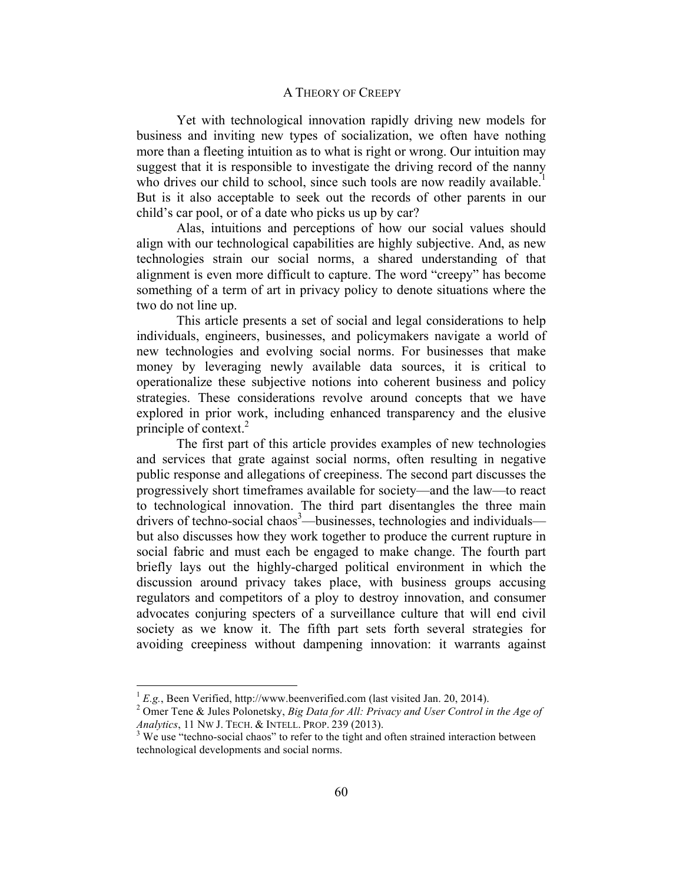Yet with technological innovation rapidly driving new models for business and inviting new types of socialization, we often have nothing more than a fleeting intuition as to what is right or wrong. Our intuition may suggest that it is responsible to investigate the driving record of the nanny who drives our child to school, since such tools are now readily available.<sup>1</sup> But is it also acceptable to seek out the records of other parents in our child's car pool, or of a date who picks us up by car?

Alas, intuitions and perceptions of how our social values should align with our technological capabilities are highly subjective. And, as new technologies strain our social norms, a shared understanding of that alignment is even more difficult to capture. The word "creepy" has become something of a term of art in privacy policy to denote situations where the two do not line up.

This article presents a set of social and legal considerations to help individuals, engineers, businesses, and policymakers navigate a world of new technologies and evolving social norms. For businesses that make money by leveraging newly available data sources, it is critical to operationalize these subjective notions into coherent business and policy strategies. These considerations revolve around concepts that we have explored in prior work, including enhanced transparency and the elusive principle of context. $2$ 

The first part of this article provides examples of new technologies and services that grate against social norms, often resulting in negative public response and allegations of creepiness. The second part discusses the progressively short timeframes available for society—and the law—to react to technological innovation. The third part disentangles the three main drivers of techno-social chaos<sup>3</sup>—businesses, technologies and individuals but also discusses how they work together to produce the current rupture in social fabric and must each be engaged to make change. The fourth part briefly lays out the highly-charged political environment in which the discussion around privacy takes place, with business groups accusing regulators and competitors of a ploy to destroy innovation, and consumer advocates conjuring specters of a surveillance culture that will end civil society as we know it. The fifth part sets forth several strategies for avoiding creepiness without dampening innovation: it warrants against

 ${}^{1}E.g.,$  Been Verified, http://www.beenverified.com (last visited Jan. 20, 2014).

Omer Tene & Jules Polonetsky, *Big Data for All: Privacy and User Control in the Age of Analytics*, 11 NW J. TECH. & INTELL. PROP. 239 (2013). <sup>3</sup>

 $3$  We use "techno-social chaos" to refer to the tight and often strained interaction between technological developments and social norms.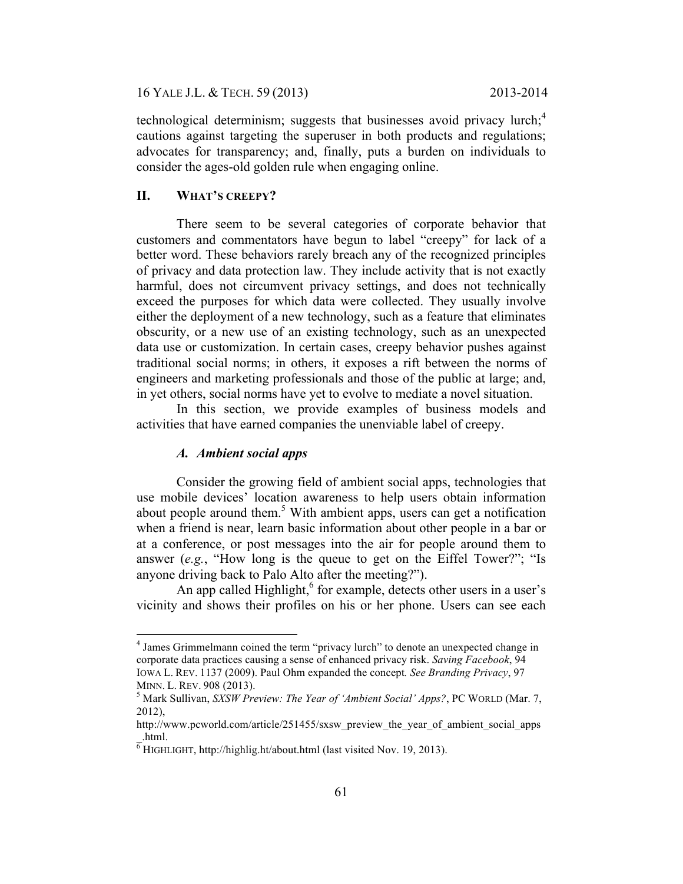16 YALE J.L. & TECH. 59 (2013) 2013-2014

technological determinism; suggests that businesses avoid privacy lurch;<sup>4</sup> cautions against targeting the superuser in both products and regulations; advocates for transparency; and, finally, puts a burden on individuals to consider the ages-old golden rule when engaging online.

## **II. WHAT'S CREEPY?**

There seem to be several categories of corporate behavior that customers and commentators have begun to label "creepy" for lack of a better word. These behaviors rarely breach any of the recognized principles of privacy and data protection law. They include activity that is not exactly harmful, does not circumvent privacy settings, and does not technically exceed the purposes for which data were collected. They usually involve either the deployment of a new technology, such as a feature that eliminates obscurity, or a new use of an existing technology, such as an unexpected data use or customization. In certain cases, creepy behavior pushes against traditional social norms; in others, it exposes a rift between the norms of engineers and marketing professionals and those of the public at large; and, in yet others, social norms have yet to evolve to mediate a novel situation.

In this section, we provide examples of business models and activities that have earned companies the unenviable label of creepy.

## *A. Ambient social apps*

Consider the growing field of ambient social apps, technologies that use mobile devices' location awareness to help users obtain information about people around them.<sup>5</sup> With ambient apps, users can get a notification when a friend is near, learn basic information about other people in a bar or at a conference, or post messages into the air for people around them to answer (*e.g.*, "How long is the queue to get on the Eiffel Tower?"; "Is anyone driving back to Palo Alto after the meeting?").

An app called Highlight, $6$  for example, detects other users in a user's vicinity and shows their profiles on his or her phone. Users can see each

 $\frac{1}{4}$ <sup>4</sup> James Grimmelmann coined the term "privacy lurch" to denote an unexpected change in corporate data practices causing a sense of enhanced privacy risk. *Saving Facebook*, 94 IOWA L. REV. 1137 (2009). Paul Ohm expanded the concept*. See Branding Privacy*, 97 MINN. L. REV. 908 (2013). 5

<sup>&</sup>lt;sup>5</sup> Mark Sullivan, *SXSW Preview: The Year of 'Ambient Social' Apps?*, PC WORLD (Mar. 7, 2012),

http://www.pcworld.com/article/251455/sxsw\_preview\_the\_year\_of\_ambient\_social\_apps  $\overline{6}$ .html.<br><sup>6</sup> HIGHLIGHT, http://highlig.ht/about.html (last visited Nov. 19, 2013).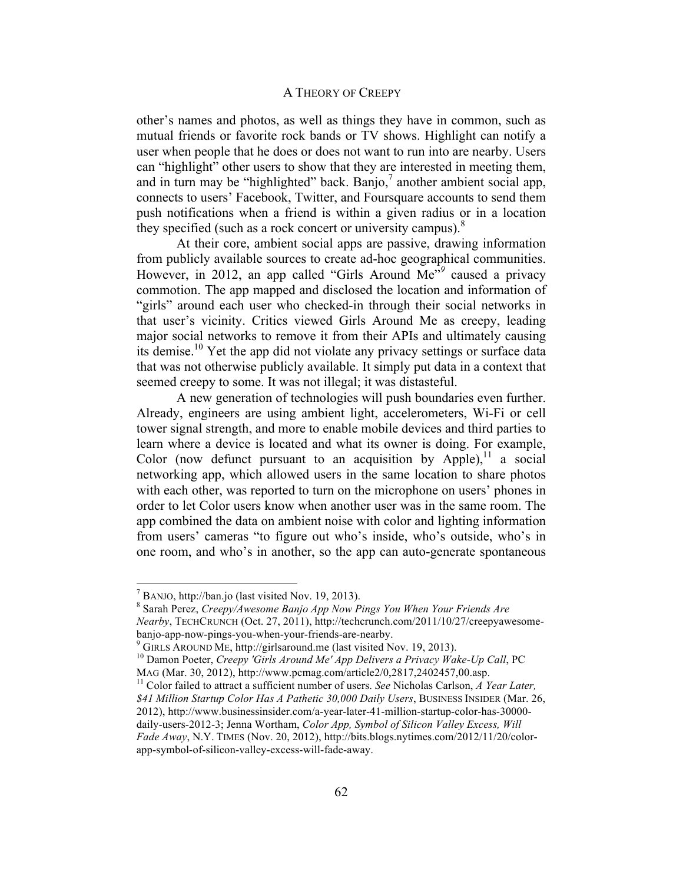other's names and photos, as well as things they have in common, such as mutual friends or favorite rock bands or TV shows. Highlight can notify a user when people that he does or does not want to run into are nearby. Users can "highlight" other users to show that they are interested in meeting them, and in turn may be "highlighted" back. Banjo, $\alpha$  another ambient social app, connects to users' Facebook, Twitter, and Foursquare accounts to send them push notifications when a friend is within a given radius or in a location they specified (such as a rock concert or university campus). $\delta$ 

At their core, ambient social apps are passive, drawing information from publicly available sources to create ad-hoc geographical communities. However, in 2012, an app called "Girls Around Me"*<sup>9</sup>* caused a privacy commotion. The app mapped and disclosed the location and information of "girls" around each user who checked-in through their social networks in that user's vicinity. Critics viewed Girls Around Me as creepy, leading major social networks to remove it from their APIs and ultimately causing its demise.<sup>10</sup> Yet the app did not violate any privacy settings or surface data that was not otherwise publicly available. It simply put data in a context that seemed creepy to some. It was not illegal; it was distasteful.

A new generation of technologies will push boundaries even further. Already, engineers are using ambient light, accelerometers, Wi-Fi or cell tower signal strength, and more to enable mobile devices and third parties to learn where a device is located and what its owner is doing. For example, Color (now defunct pursuant to an acquisition by Apple),  $\frac{11}{1}$  a social networking app, which allowed users in the same location to share photos with each other, was reported to turn on the microphone on users' phones in order to let Color users know when another user was in the same room. The app combined the data on ambient noise with color and lighting information from users' cameras "to figure out who's inside, who's outside, who's in one room, and who's in another, so the app can auto-generate spontaneous

 $<sup>7</sup>$  BANJO, http://ban.jo (last visited Nov. 19, 2013).</sup>

Sarah Perez, *Creepy/Awesome Banjo App Now Pings You When Your Friends Are Nearby*, TECHCRUNCH (Oct. 27, 2011), http://techcrunch.com/2011/10/27/creepyawesomebanjo-app-now-pings-you-when-your-friends-are-nearby.<br><sup>9</sup> GIRLS AROUND ME, http://girlsaround.me (last visited Nov. 19, 2013).<br><sup>10</sup> Damon Poeter, *Creepy 'Girls Around Me' App Delivers a Privacy Wake-Up Call*, PC

MAG (Mar. 30, 2012), http://www.pcmag.com/article2/0,2817,2402457,00.asp.<br><sup>11</sup> Color failed to attract a sufficient number of users. *See* Nicholas Carlson, *A Year Later*,

*<sup>\$41</sup> Million Startup Color Has A Pathetic 30,000 Daily Users*, BUSINESS INSIDER (Mar. 26, 2012), http://www.businessinsider.com/a-year-later-41-million-startup-color-has-30000 daily-users-2012-3; Jenna Wortham, *Color App, Symbol of Silicon Valley Excess, Will Fade Away*, N.Y. TIMES (Nov. 20, 2012), http://bits.blogs.nytimes.com/2012/11/20/colorapp-symbol-of-silicon-valley-excess-will-fade-away.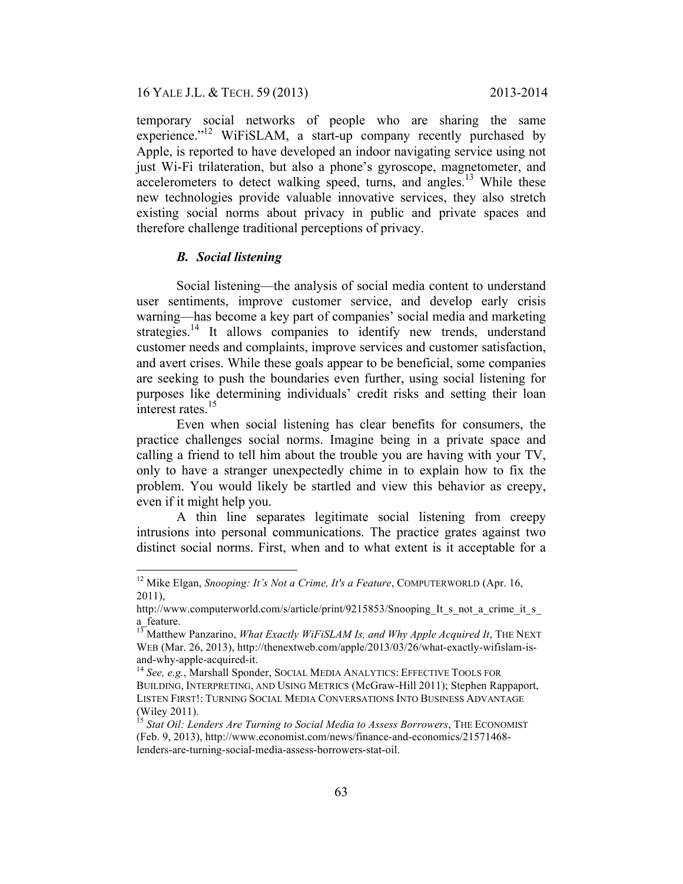16 YALE J.L. & TECH. 59 (2013) 2013-2014

temporary social networks of people who are sharing the same experience."<sup>12</sup> WiFiSLAM, a start-up company recently purchased by Apple, is reported to have developed an indoor navigating service using not just Wi-Fi trilateration, but also a phone's gyroscope, magnetometer, and accelerometers to detect walking speed, turns, and angles.<sup>13</sup> While these new technologies provide valuable innovative services, they also stretch existing social norms about privacy in public and private spaces and therefore challenge traditional perceptions of privacy.

### *B. Social listening*

Social listening—the analysis of social media content to understand user sentiments, improve customer service, and develop early crisis warning—has become a key part of companies' social media and marketing strategies.<sup>14</sup> It allows companies to identify new trends, understand customer needs and complaints, improve services and customer satisfaction, and avert crises. While these goals appear to be beneficial, some companies are seeking to push the boundaries even further, using social listening for purposes like determining individuals' credit risks and setting their loan interest rates.<sup>15</sup>

Even when social listening has clear benefits for consumers, the practice challenges social norms. Imagine being in a private space and calling a friend to tell him about the trouble you are having with your TV, only to have a stranger unexpectedly chime in to explain how to fix the problem. You would likely be startled and view this behavior as creepy, even if it might help you.

A thin line separates legitimate social listening from creepy intrusions into personal communications. The practice grates against two distinct social norms. First, when and to what extent is it acceptable for a

 <sup>12</sup> Mike Elgan, *Snooping: It's Not a Crime, It's a Feature*, COMPUTERWORLD (Apr. 16, 2011),

http://www.computerworld.com/s/article/print/9215853/Snooping It s not a crime it s a\_feature.<br><sup>13</sup> Matthew Panzarino, *What Exactly WiFiSLAM Is, and Why Apple Acquired It*, THE NEXT

WEB (Mar. 26, 2013), http://thenextweb.com/apple/2013/03/26/what-exactly-wifislam-isand-why-apple-acquired-it.<br><sup>14</sup> *See, e.g.*, Marshall Sponder, SOCIAL MEDIA ANALYTICS: EFFECTIVE TOOLS FOR

BUILDING, INTERPRETING, AND USING METRICS (McGraw-Hill 2011); Stephen Rappaport, LISTEN FIRST!: TURNING SOCIAL MEDIA CONVERSATIONS INTO BUSINESS ADVANTAGE (Wiley 2011).<br><sup>15</sup> *Stat Oil: Lenders Are Turning to Social Media to Assess Borrowers*, THE ECONOMIST

<sup>(</sup>Feb. 9, 2013), http://www.economist.com/news/finance-and-economics/21571468 lenders-are-turning-social-media-assess-borrowers-stat-oil.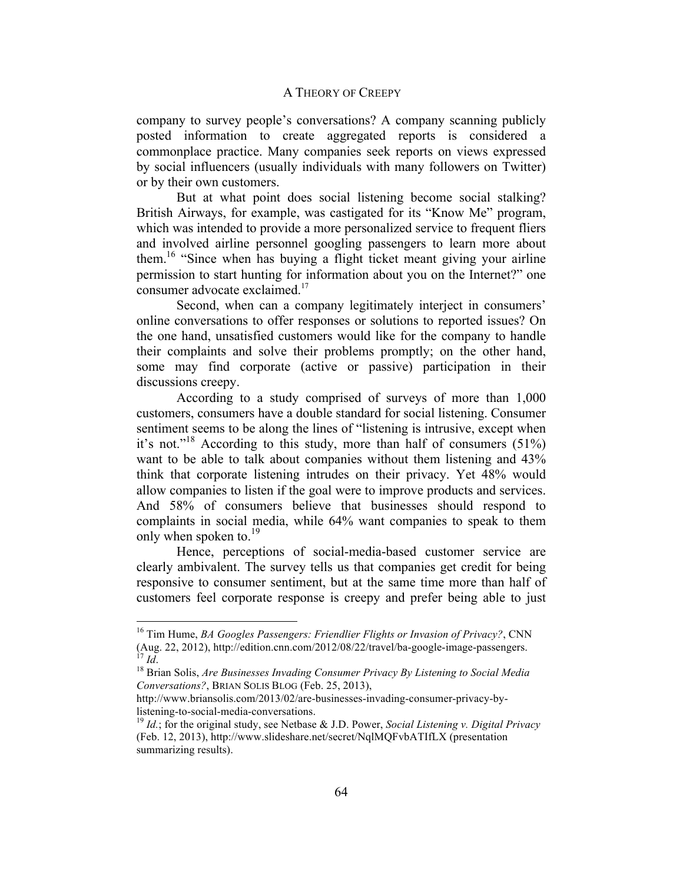company to survey people's conversations? A company scanning publicly posted information to create aggregated reports is considered a commonplace practice. Many companies seek reports on views expressed by social influencers (usually individuals with many followers on Twitter) or by their own customers.

But at what point does social listening become social stalking? British Airways, for example, was castigated for its "Know Me" program, which was intended to provide a more personalized service to frequent fliers and involved airline personnel googling passengers to learn more about them.<sup>16</sup> "Since when has buying a flight ticket meant giving your airline permission to start hunting for information about you on the Internet?" one consumer advocate exclaimed.<sup>17</sup>

Second, when can a company legitimately interject in consumers' online conversations to offer responses or solutions to reported issues? On the one hand, unsatisfied customers would like for the company to handle their complaints and solve their problems promptly; on the other hand, some may find corporate (active or passive) participation in their discussions creepy.

According to a study comprised of surveys of more than 1,000 customers, consumers have a double standard for social listening. Consumer sentiment seems to be along the lines of "listening is intrusive, except when it's not."<sup>18</sup> According to this study, more than half of consumers  $(51\%)$ want to be able to talk about companies without them listening and 43% think that corporate listening intrudes on their privacy. Yet 48% would allow companies to listen if the goal were to improve products and services. And 58% of consumers believe that businesses should respond to complaints in social media, while 64% want companies to speak to them only when spoken to.<sup>19</sup>

Hence, perceptions of social-media-based customer service are clearly ambivalent. The survey tells us that companies get credit for being responsive to consumer sentiment, but at the same time more than half of customers feel corporate response is creepy and prefer being able to just

<sup>&</sup>lt;sup>16</sup> Tim Hume, *BA Googles Passengers: Friendlier Flights or Invasion of Privacy?*, CNN (Aug. 22, 2012), http://edition.cnn.com/2012/08/22/travel/ba-google-image-passengers. <sup>17</sup> Id. <sup>18</sup> Brian Solis, *Are Businesses Invading Consumer Privacy By Listening to Social Media* 

*Conversations?*, BRIAN SOLIS BLOG (Feb. 25, 2013),

http://www.briansolis.com/2013/02/are-businesses-invading-consumer-privacy-bylistening-to-social-media-conversations. <sup>19</sup> *Id.*; for the original study, see Netbase & J.D. Power, *Social Listening v. Digital Privacy*

<sup>(</sup>Feb. 12, 2013), http://www.slideshare.net/secret/NqlMQFvbATIfLX (presentation summarizing results).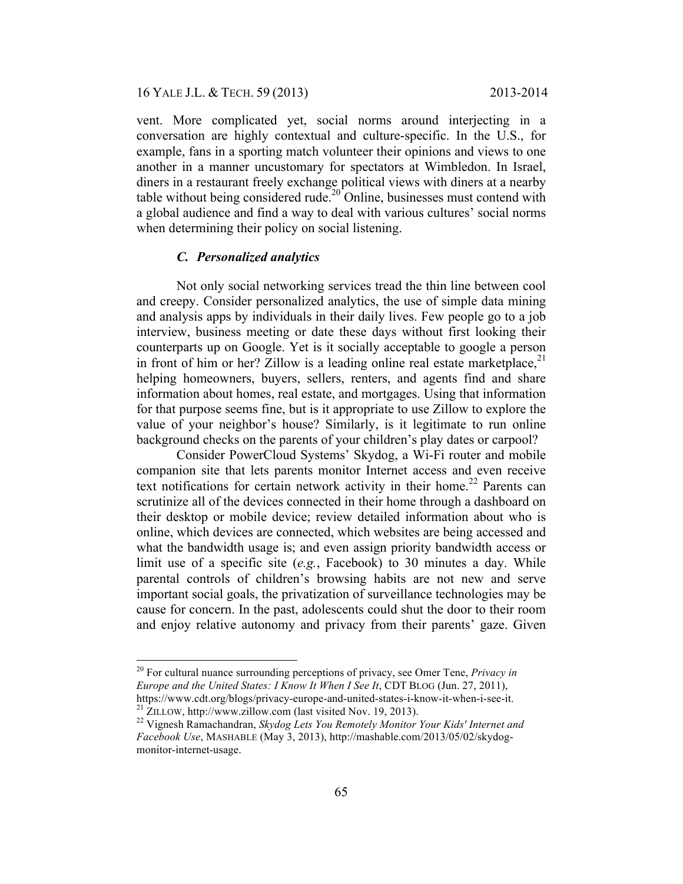### 16 YALE J.L. & TECH. 59 (2013) 2013-2014

vent. More complicated yet, social norms around interjecting in a conversation are highly contextual and culture-specific. In the U.S., for example, fans in a sporting match volunteer their opinions and views to one another in a manner uncustomary for spectators at Wimbledon. In Israel, diners in a restaurant freely exchange political views with diners at a nearby table without being considered rude.<sup>20</sup> Online, businesses must contend with a global audience and find a way to deal with various cultures' social norms when determining their policy on social listening.

### *C. Personalized analytics*

Not only social networking services tread the thin line between cool and creepy. Consider personalized analytics, the use of simple data mining and analysis apps by individuals in their daily lives. Few people go to a job interview, business meeting or date these days without first looking their counterparts up on Google. Yet is it socially acceptable to google a person in front of him or her? Zillow is a leading online real estate marketplace, $21$ helping homeowners, buyers, sellers, renters, and agents find and share information about homes, real estate, and mortgages. Using that information for that purpose seems fine, but is it appropriate to use Zillow to explore the value of your neighbor's house? Similarly, is it legitimate to run online background checks on the parents of your children's play dates or carpool?

Consider PowerCloud Systems' Skydog, a Wi-Fi router and mobile companion site that lets parents monitor Internet access and even receive text notifications for certain network activity in their home.<sup>22</sup> Parents can scrutinize all of the devices connected in their home through a dashboard on their desktop or mobile device; review detailed information about who is online, which devices are connected, which websites are being accessed and what the bandwidth usage is; and even assign priority bandwidth access or limit use of a specific site (*e.g.*, Facebook) to 30 minutes a day. While parental controls of children's browsing habits are not new and serve important social goals, the privatization of surveillance technologies may be cause for concern. In the past, adolescents could shut the door to their room and enjoy relative autonomy and privacy from their parents' gaze. Given

 <sup>20</sup> For cultural nuance surrounding perceptions of privacy, see Omer Tene, *Privacy in Europe and the United States: I Know It When I See It*, CDT BLOG (Jun. 27, 2011),

https://www.cdt.org/blogs/privacy-europe-and-united-states-i-know-it-when-i-see-it.<br><sup>21</sup> ZILLOW, http://www.zillow.com (last visited Nov. 19, 2013).<br><sup>22</sup> Vignesh Ramachandran, *Skydog Lets You Remotely Monitor Your Kids' I Facebook Use*, MASHABLE (May 3, 2013), http://mashable.com/2013/05/02/skydogmonitor-internet-usage.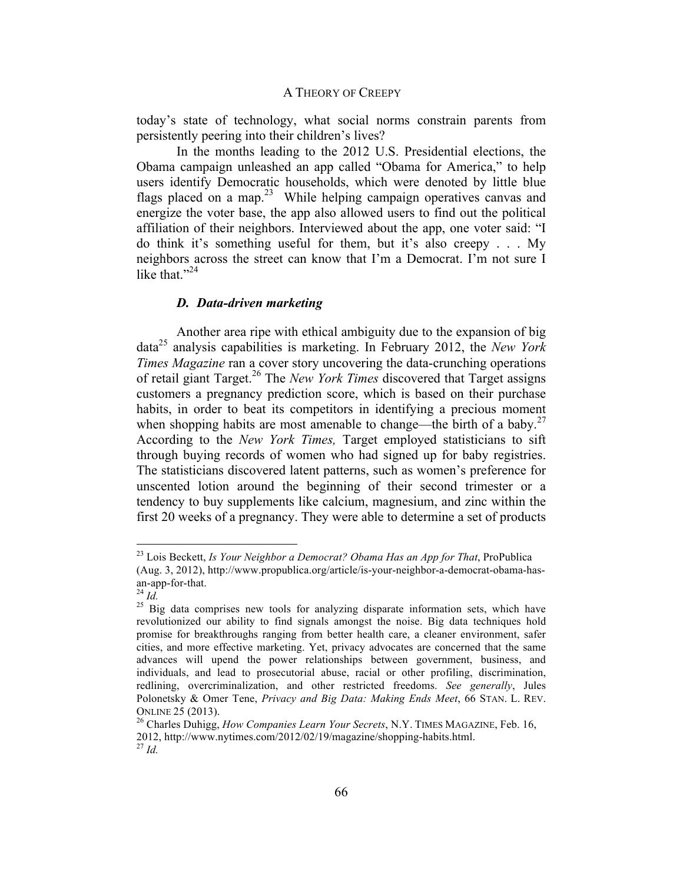today's state of technology, what social norms constrain parents from persistently peering into their children's lives?

In the months leading to the 2012 U.S. Presidential elections, the Obama campaign unleashed an app called "Obama for America," to help users identify Democratic households, which were denoted by little blue flags placed on a map.<sup>23</sup> While helping campaign operatives canvas and energize the voter base, the app also allowed users to find out the political affiliation of their neighbors. Interviewed about the app, one voter said: "I do think it's something useful for them, but it's also creepy . . . My neighbors across the street can know that I'm a Democrat. I'm not sure I like that  $"^{24}$ 

### *D. Data-driven marketing*

Another area ripe with ethical ambiguity due to the expansion of big data25 analysis capabilities is marketing. In February 2012, the *New York Times Magazine* ran a cover story uncovering the data-crunching operations of retail giant Target.26 The *New York Times* discovered that Target assigns customers a pregnancy prediction score, which is based on their purchase habits, in order to beat its competitors in identifying a precious moment when shopping habits are most amenable to change—the birth of a baby.<sup>27</sup> According to the *New York Times,* Target employed statisticians to sift through buying records of women who had signed up for baby registries. The statisticians discovered latent patterns, such as women's preference for unscented lotion around the beginning of their second trimester or a tendency to buy supplements like calcium, magnesium, and zinc within the first 20 weeks of a pregnancy. They were able to determine a set of products

 <sup>23</sup> Lois Beckett, *Is Your Neighbor a Democrat? Obama Has an App for That*, ProPublica (Aug. 3, 2012), http://www.propublica.org/article/is-your-neighbor-a-democrat-obama-hasan-app-for-that. <sup>24</sup> *Id.* 

 $25$  Big data comprises new tools for analyzing disparate information sets, which have revolutionized our ability to find signals amongst the noise. Big data techniques hold promise for breakthroughs ranging from better health care, a cleaner environment, safer cities, and more effective marketing. Yet, privacy advocates are concerned that the same advances will upend the power relationships between government, business, and individuals, and lead to prosecutorial abuse, racial or other profiling, discrimination, redlining, overcriminalization, and other restricted freedoms. *See generally*, Jules Polonetsky & Omer Tene, *Privacy and Big Data: Making Ends Meet*, 66 STAN. L. REV. ONLINE 25 (2013). 26 Charles Duhigg, *How Companies Learn Your Secrets*, N.Y. TIMES MAGAZINE, Feb. 16,

<sup>2012,</sup> http://www.nytimes.com/2012/02/19/magazine/shopping-habits.html.<br><sup>27</sup> *Id.*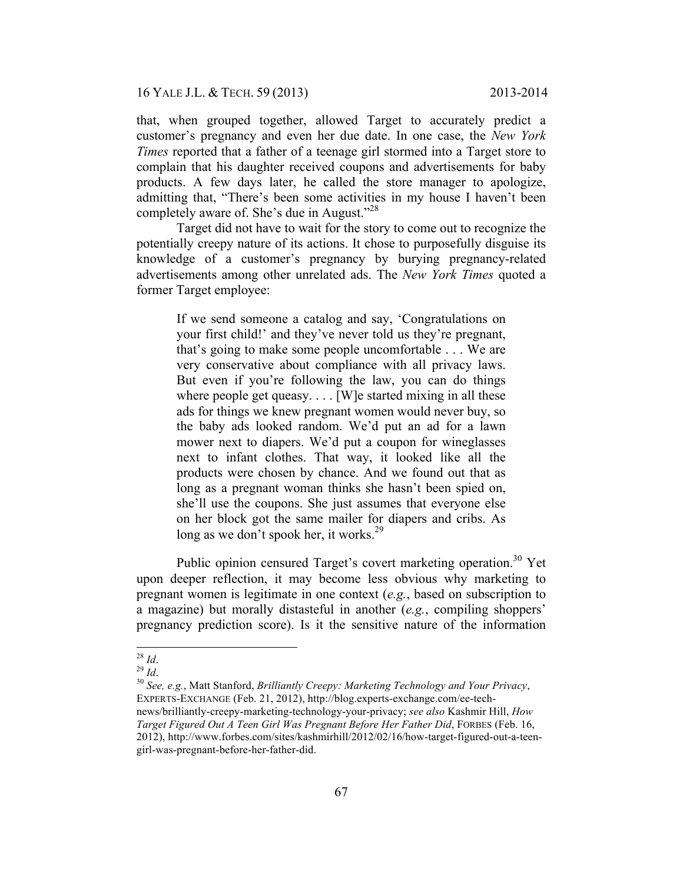16 YALE J.L. & TECH. 59 (2013) 2013-2014

that, when grouped together, allowed Target to accurately predict a customer's pregnancy and even her due date. In one case, the *New York Times* reported that a father of a teenage girl stormed into a Target store to complain that his daughter received coupons and advertisements for baby products. A few days later, he called the store manager to apologize, admitting that, "There's been some activities in my house I haven't been completely aware of. She's due in August."<sup>28</sup>

Target did not have to wait for the story to come out to recognize the potentially creepy nature of its actions. It chose to purposefully disguise its knowledge of a customer's pregnancy by burying pregnancy-related advertisements among other unrelated ads. The *New York Times* quoted a former Target employee:

If we send someone a catalog and say, 'Congratulations on your first child!' and they've never told us they're pregnant, that's going to make some people uncomfortable . . . We are very conservative about compliance with all privacy laws. But even if you're following the law, you can do things where people get queasy.... [W] e started mixing in all these ads for things we knew pregnant women would never buy, so the baby ads looked random. We'd put an ad for a lawn mower next to diapers. We'd put a coupon for wineglasses next to infant clothes. That way, it looked like all the products were chosen by chance. And we found out that as long as a pregnant woman thinks she hasn't been spied on, she'll use the coupons. She just assumes that everyone else on her block got the same mailer for diapers and cribs. As long as we don't spook her, it works. $^{29}$ 

Public opinion censured Target's covert marketing operation.<sup>30</sup> Yet upon deeper reflection, it may become less obvious why marketing to pregnant women is legitimate in one context (*e.g.*, based on subscription to a magazine) but morally distasteful in another (*e.g.*, compiling shoppers' pregnancy prediction score). Is it the sensitive nature of the information

<sup>28</sup> *Id*. <sup>29</sup> *Id*. 30 *See, e.g.*, Matt Stanford, *Brilliantly Creepy: Marketing Technology and Your Privacy*, EXPERTS-EXCHANGE (Feb. 21, 2012), http://blog.experts-exchange.com/ee-technews/brilliantly-creepy-marketing-technology-your-privacy; *see also* Kashmir Hill, *How Target Figured Out A Teen Girl Was Pregnant Before Her Father Did*, FORBES (Feb. 16, 2012), http://www.forbes.com/sites/kashmirhill/2012/02/16/how-target-figured-out-a-teengirl-was-pregnant-before-her-father-did.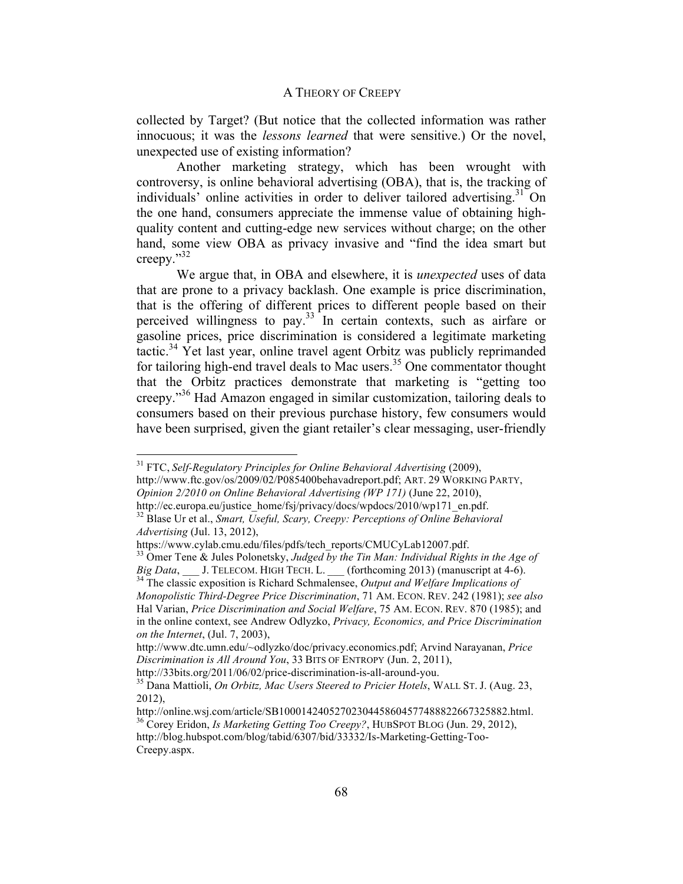collected by Target? (But notice that the collected information was rather innocuous; it was the *lessons learned* that were sensitive.) Or the novel, unexpected use of existing information?

Another marketing strategy, which has been wrought with controversy, is online behavioral advertising (OBA), that is, the tracking of individuals' online activities in order to deliver tailored advertising.<sup>31</sup> On the one hand, consumers appreciate the immense value of obtaining highquality content and cutting-edge new services without charge; on the other hand, some view OBA as privacy invasive and "find the idea smart but creepy."<sup>32</sup>

We argue that, in OBA and elsewhere, it is *unexpected* uses of data that are prone to a privacy backlash. One example is price discrimination, that is the offering of different prices to different people based on their perceived willingness to pay.33 In certain contexts, such as airfare or gasoline prices, price discrimination is considered a legitimate marketing tactic.<sup>34</sup> Yet last year, online travel agent Orbitz was publicly reprimanded for tailoring high-end travel deals to Mac users.<sup>35</sup> One commentator thought that the Orbitz practices demonstrate that marketing is "getting too creepy." 36 Had Amazon engaged in similar customization, tailoring deals to consumers based on their previous purchase history, few consumers would have been surprised, given the giant retailer's clear messaging, user-friendly

 <sup>31</sup> FTC, *Self-Regulatory Principles for Online Behavioral Advertising* (2009),

http://www.ftc.gov/os/2009/02/P085400behavadreport.pdf; ART. 29 WORKING PARTY, *Opinion 2/2010 on Online Behavioral Advertising (WP 171)* (June 22, 2010),

http://ec.europa.eu/justice\_home/fsj/privacy/docs/wpdocs/2010/wp171\_en.pdf. 32 Blase Ur et al., *Smart, Useful, Scary, Creepy: Perceptions of Online Behavioral Advertising* (Jul. 13, 2012),

https://www.cylab.cmu.edu/files/pdfs/tech\_reports/CMUCyLab12007.pdf. 33 Omer Tene & Jules Polonetsky, *Judged by the Tin Man: Individual Rights in the Age of Big Data*, \_\_\_ J. TELECOM. HIGH TECH. L. \_\_\_ (forthcoming 2013) (manuscript at 4-6). <sup>34</sup> The classic exposition is Richard Schmalensee, *Output and Welfare Implications of* 

*Monopolistic Third-Degree Price Discrimination*, 71 AM. ECON. REV. 242 (1981); *see also*  Hal Varian, *Price Discrimination and Social Welfare*, 75 AM. ECON. REV. 870 (1985); and in the online context, see Andrew Odlyzko, *Privacy, Economics, and Price Discrimination on the Internet*, (Jul. 7, 2003),

http://www.dtc.umn.edu/~odlyzko/doc/privacy.economics.pdf; Arvind Narayanan, *Price Discrimination is All Around You*, 33 BITS OF ENTROPY (Jun. 2, 2011),

http://33bits.org/2011/06/02/price-discrimination-is-all-around-you. 35 Dana Mattioli, *On Orbitz, Mac Users Steered to Pricier Hotels*, WALL ST. J. (Aug. 23, 2012),<br>http://online.wsj.com/article/SB10001424052702304458604577488822667325882.html.

<sup>&</sup>lt;sup>36</sup> Corey Eridon, *Is Marketing Getting Too Creepy?*, HUBSPOT BLOG (Jun. 29, 2012),

http://blog.hubspot.com/blog/tabid/6307/bid/33332/Is-Marketing-Getting-Too-Creepy.aspx.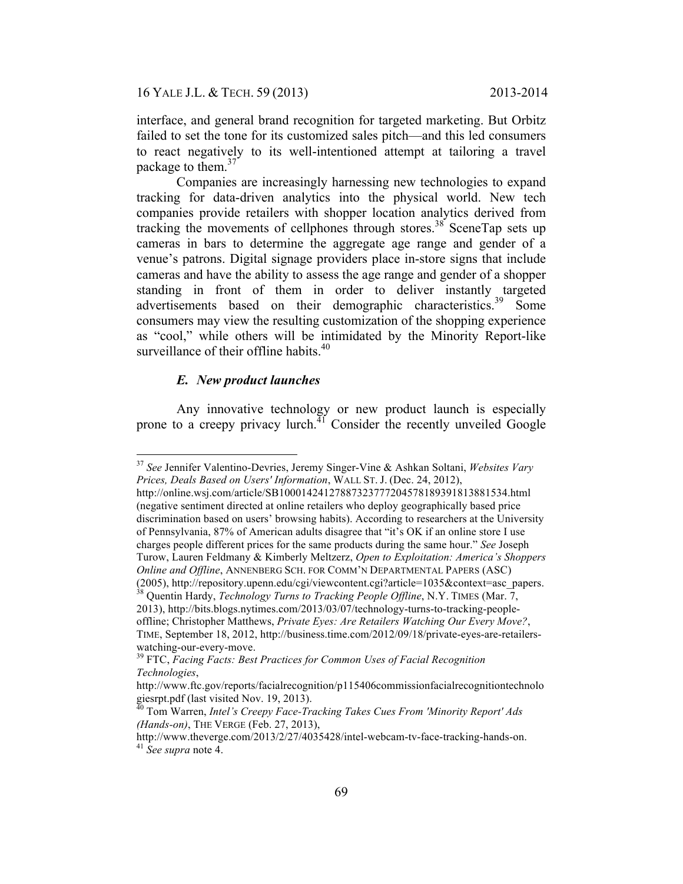interface, and general brand recognition for targeted marketing. But Orbitz failed to set the tone for its customized sales pitch—and this led consumers to react negatively to its well-intentioned attempt at tailoring a travel package to them.<sup>37</sup>

Companies are increasingly harnessing new technologies to expand tracking for data-driven analytics into the physical world. New tech companies provide retailers with shopper location analytics derived from tracking the movements of cellphones through stores.<sup>38</sup> SceneTap sets up cameras in bars to determine the aggregate age range and gender of a venue's patrons. Digital signage providers place in-store signs that include cameras and have the ability to assess the age range and gender of a shopper standing in front of them in order to deliver instantly targeted advertisements based on their demographic characteristics.<sup>39</sup> Some consumers may view the resulting customization of the shopping experience as "cool," while others will be intimidated by the Minority Report-like surveillance of their offline habits.<sup>40</sup>

## *E. New product launches*

Any innovative technology or new product launch is especially prone to a creepy privacy lurch.<sup>41</sup> Consider the recently unveiled Google

 <sup>37</sup> *See* Jennifer Valentino-Devries, Jeremy Singer-Vine & Ashkan Soltani, *Websites Vary Prices, Deals Based on Users' Information*, WALL ST. J. (Dec. 24, 2012),

http://online.wsj.com/article/SB10001424127887323777204578189391813881534.html (negative sentiment directed at online retailers who deploy geographically based price discrimination based on users' browsing habits). According to researchers at the University of Pennsylvania, 87% of American adults disagree that "it's OK if an online store I use charges people different prices for the same products during the same hour." *See* Joseph Turow, Lauren Feldmany & Kimberly Meltzerz, *Open to Exploitation: America's Shoppers Online and Offline*, ANNENBERG SCH. FOR COMM'N DEPARTMENTAL PAPERS (ASC)

<sup>(2005),</sup> http://repository.upenn.edu/cgi/viewcontent.cgi?article=1035&context=asc\_papers. 38 Quentin Hardy, *Technology Turns to Tracking People Offline*, N.Y. TIMES (Mar. 7,

<sup>2013),</sup> http://bits.blogs.nytimes.com/2013/03/07/technology-turns-to-tracking-peopleoffline; Christopher Matthews, *Private Eyes: Are Retailers Watching Our Every Move?*, TIME, September 18, 2012, http://business.time.com/2012/09/18/private-eyes-are-retailers-

watching-our-every-move.<br><sup>39</sup> FTC, *Facing Facts: Best Practices for Common Uses of Facial Recognition Technologies*,

http://www.ftc.gov/reports/facialrecognition/p115406commissionfacialrecognitiontechnolo giesrpt.pdf (last visited Nov. 19, 2013).<br><sup>40</sup> Tom Warren, *Intel's Creepy Face-Tracking Takes Cues From 'Minority Report' Ads* 

*<sup>(</sup>Hands-on)*, THE VERGE (Feb. 27, 2013),

http://www.theverge.com/2013/2/27/4035428/intel-webcam-tv-face-tracking-hands-on. <sup>41</sup> *See supra* note 4.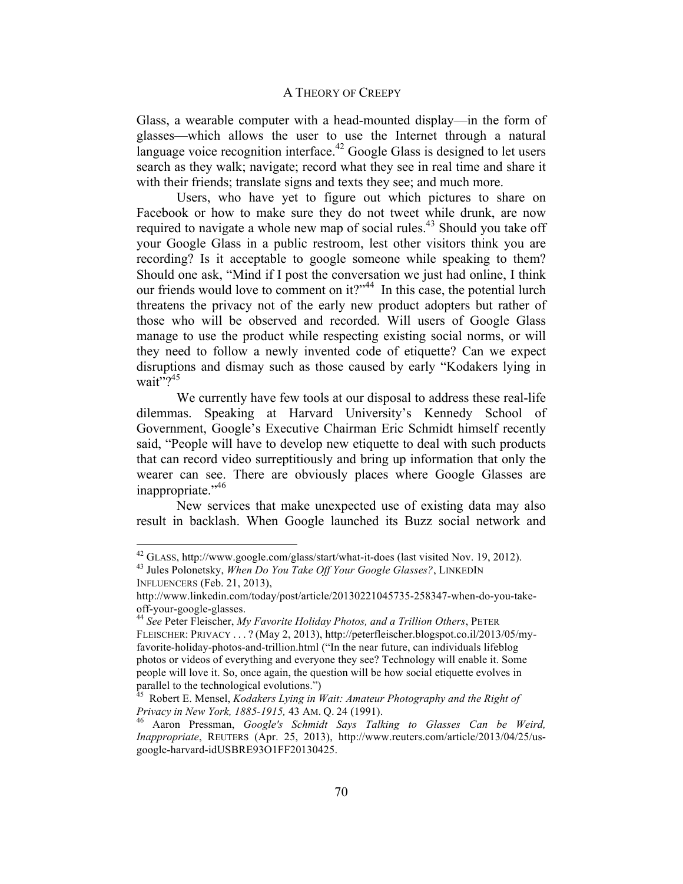Glass, a wearable computer with a head-mounted display—in the form of glasses—which allows the user to use the Internet through a natural language voice recognition interface.<sup>42</sup> Google Glass is designed to let users search as they walk; navigate; record what they see in real time and share it with their friends; translate signs and texts they see; and much more.

Users, who have yet to figure out which pictures to share on Facebook or how to make sure they do not tweet while drunk, are now required to navigate a whole new map of social rules.<sup>43</sup> Should you take off your Google Glass in a public restroom, lest other visitors think you are recording? Is it acceptable to google someone while speaking to them? Should one ask, "Mind if I post the conversation we just had online, I think our friends would love to comment on it?"<sup>44</sup> In this case, the potential lurch threatens the privacy not of the early new product adopters but rather of those who will be observed and recorded. Will users of Google Glass manage to use the product while respecting existing social norms, or will they need to follow a newly invented code of etiquette? Can we expect disruptions and dismay such as those caused by early "Kodakers lying in wait"? $45$ 

We currently have few tools at our disposal to address these real-life dilemmas. Speaking at Harvard University's Kennedy School of Government, Google's Executive Chairman Eric Schmidt himself recently said, "People will have to develop new etiquette to deal with such products that can record video surreptitiously and bring up information that only the wearer can see. There are obviously places where Google Glasses are inappropriate."46

New services that make unexpected use of existing data may also result in backlash. When Google launched its Buzz social network and

<sup>42</sup> GLASS, http://www.google.com/glass/start/what-it-does (last visited Nov. 19, 2012). 43 Jules Polonetsky, *When Do You Take Off Your Google Glasses?*, LINKEDIN

INFLUENCERS (Feb. 21, 2013),

http://www.linkedin.com/today/post/article/20130221045735-258347-when-do-you-takeoff-your-google-glasses. <sup>44</sup> *See* Peter Fleischer, *My Favorite Holiday Photos, and a Trillion Others*, PETER

FLEISCHER: PRIVACY . . . ? (May 2, 2013), http://peterfleischer.blogspot.co.il/2013/05/myfavorite-holiday-photos-and-trillion.html ("In the near future, can individuals lifeblog photos or videos of everything and everyone they see? Technology will enable it. Some people will love it. So, once again, the question will be how social etiquette evolves in parallel to the technological evolutions.")

<sup>&</sup>lt;sup>45</sup> Robert E. Mensel, *Kodakers Lying in Wait: Amateur Photography and the Right of Privacy in New York, 1885-1915,* 43 AM. Q. 24 (1991). 46 Aaron Pressman, *Google's Schmidt Says Talking to Glasses Can be Weird,* 

*Inappropriate*, REUTERS (Apr. 25, 2013), http://www.reuters.com/article/2013/04/25/usgoogle-harvard-idUSBRE93O1FF20130425.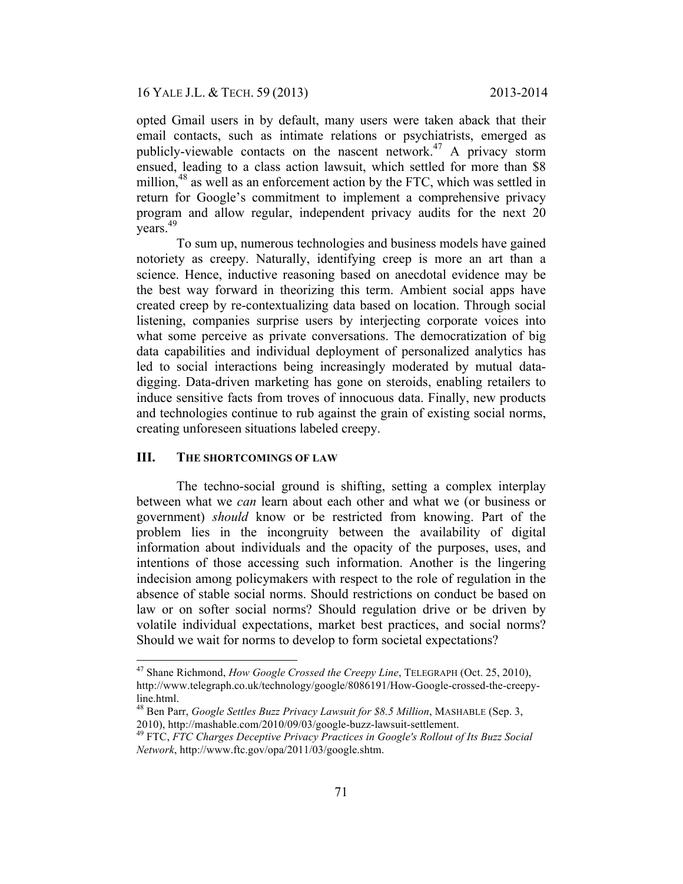opted Gmail users in by default, many users were taken aback that their email contacts, such as intimate relations or psychiatrists, emerged as publicly-viewable contacts on the nascent network.<sup>47</sup> A privacy storm ensued, leading to a class action lawsuit, which settled for more than \$8 million,<sup>48</sup> as well as an enforcement action by the FTC, which was settled in return for Google's commitment to implement a comprehensive privacy program and allow regular, independent privacy audits for the next 20 years.49

To sum up, numerous technologies and business models have gained notoriety as creepy. Naturally, identifying creep is more an art than a science. Hence, inductive reasoning based on anecdotal evidence may be the best way forward in theorizing this term. Ambient social apps have created creep by re-contextualizing data based on location. Through social listening, companies surprise users by interjecting corporate voices into what some perceive as private conversations. The democratization of big data capabilities and individual deployment of personalized analytics has led to social interactions being increasingly moderated by mutual datadigging. Data-driven marketing has gone on steroids, enabling retailers to induce sensitive facts from troves of innocuous data. Finally, new products and technologies continue to rub against the grain of existing social norms, creating unforeseen situations labeled creepy.

## **III. THE SHORTCOMINGS OF LAW**

The techno-social ground is shifting, setting a complex interplay between what we *can* learn about each other and what we (or business or government) *should* know or be restricted from knowing. Part of the problem lies in the incongruity between the availability of digital information about individuals and the opacity of the purposes, uses, and intentions of those accessing such information. Another is the lingering indecision among policymakers with respect to the role of regulation in the absence of stable social norms. Should restrictions on conduct be based on law or on softer social norms? Should regulation drive or be driven by volatile individual expectations, market best practices, and social norms? Should we wait for norms to develop to form societal expectations?

 <sup>47</sup> Shane Richmond, *How Google Crossed the Creepy Line*, TELEGRAPH (Oct. 25, 2010), http://www.telegraph.co.uk/technology/google/8086191/How-Google-crossed-the-creepyline.html.<br><sup>48</sup> Ben Parr, *Google Settles Buzz Privacy Lawsuit for \$8.5 Million*, MASHABLE (Sep. 3,

<sup>2010),</sup> http://mashable.com/2010/09/03/google-buzz-lawsuit-settlement. <sup>49</sup> FTC, *FTC Charges Deceptive Privacy Practices in Google's Rollout of Its Buzz Social* 

*Network*, http://www.ftc.gov/opa/2011/03/google.shtm.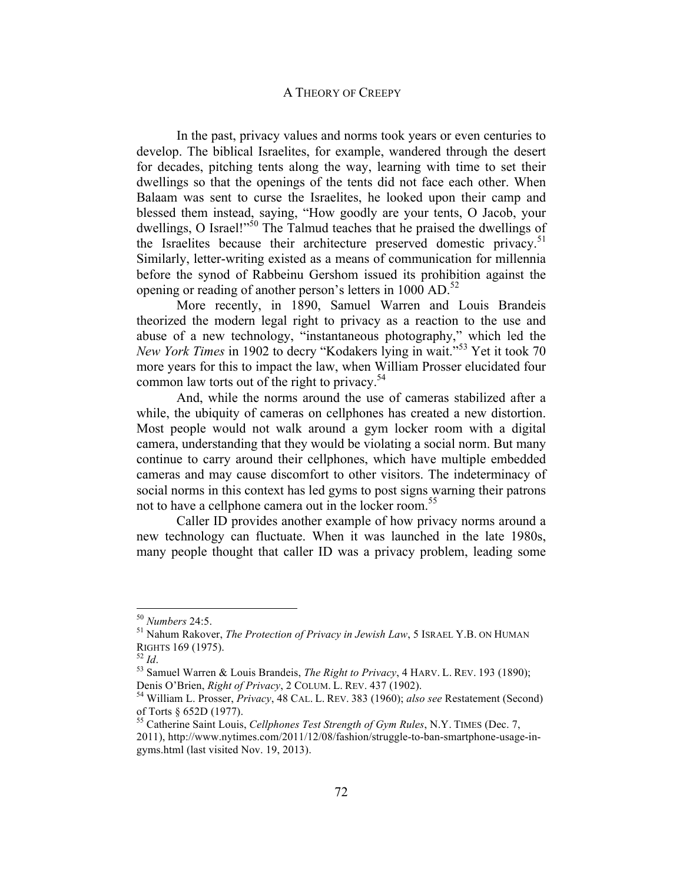In the past, privacy values and norms took years or even centuries to develop. The biblical Israelites, for example, wandered through the desert for decades, pitching tents along the way, learning with time to set their dwellings so that the openings of the tents did not face each other. When Balaam was sent to curse the Israelites, he looked upon their camp and blessed them instead, saying, "How goodly are your tents, O Jacob, your dwellings, O Israel!"<sup>50</sup> The Talmud teaches that he praised the dwellings of the Israelites because their architecture preserved domestic privacy.<sup>51</sup> Similarly, letter-writing existed as a means of communication for millennia before the synod of Rabbeinu Gershom issued its prohibition against the opening or reading of another person's letters in  $1000$  AD.<sup>52</sup>

More recently, in 1890, Samuel Warren and Louis Brandeis theorized the modern legal right to privacy as a reaction to the use and abuse of a new technology, "instantaneous photography," which led the *New York Times* in 1902 to decry "Kodakers lying in wait."<sup>53</sup> Yet it took 70 more years for this to impact the law, when William Prosser elucidated four common law torts out of the right to privacy. $54$ 

And, while the norms around the use of cameras stabilized after a while, the ubiquity of cameras on cellphones has created a new distortion. Most people would not walk around a gym locker room with a digital camera, understanding that they would be violating a social norm. But many continue to carry around their cellphones, which have multiple embedded cameras and may cause discomfort to other visitors. The indeterminacy of social norms in this context has led gyms to post signs warning their patrons not to have a cellphone camera out in the locker room.<sup>55</sup>

Caller ID provides another example of how privacy norms around a new technology can fluctuate. When it was launched in the late 1980s, many people thought that caller ID was a privacy problem, leading some

<sup>&</sup>lt;sup>50</sup> *Numbers* 24:5.<br><sup>51</sup> Nahum Rakover, *The Protection of Privacy in Jewish Law*, 5 ISRAEL Y.B. ON HUMAN

RIGHTS 169 (1975).<br><sup>52</sup> *Id.* 53 Samuel Warren & Louis Brandeis, *The Right to Privacy*, 4 HARV. L. REV. 193 (1890);<br>Denis O'Brien, *Right of Privacy*, 2 COLUM. L. REV. 437 (1902).

<sup>&</sup>lt;sup>54</sup> William L. Prosser, *Privacy*, 48 CAL. L. REV. 383 (1960); *also see* Restatement (Second) of Torts § 652D (1977).

<sup>55</sup> Catherine Saint Louis, *Cellphones Test Strength of Gym Rules*, N.Y. TIMES (Dec. 7, 2011), http://www.nytimes.com/2011/12/08/fashion/struggle-to-ban-smartphone-usage-ingyms.html (last visited Nov. 19, 2013).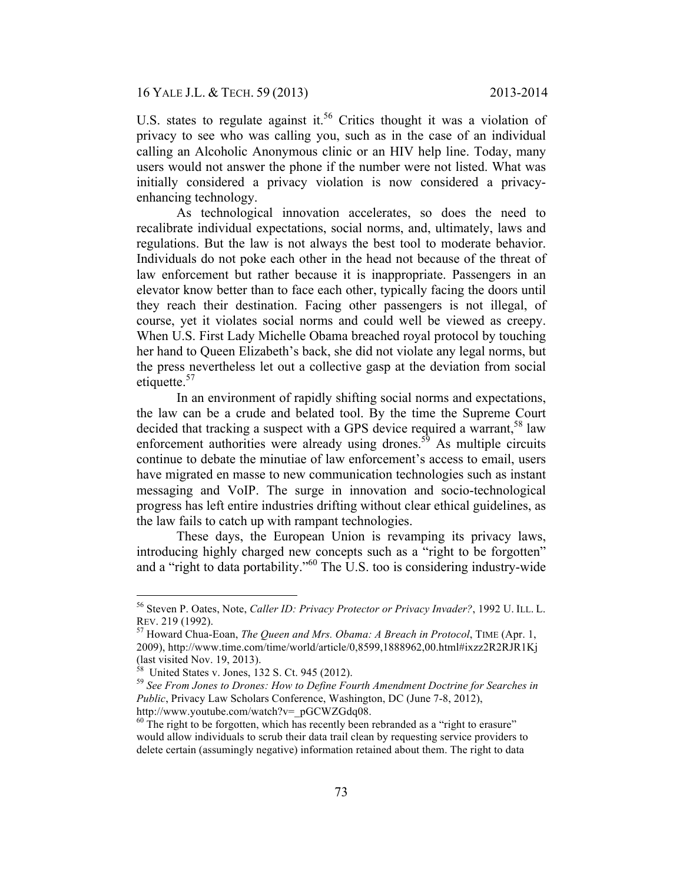U.S. states to regulate against it.<sup>56</sup> Critics thought it was a violation of privacy to see who was calling you, such as in the case of an individual calling an Alcoholic Anonymous clinic or an HIV help line. Today, many users would not answer the phone if the number were not listed. What was initially considered a privacy violation is now considered a privacyenhancing technology.

As technological innovation accelerates, so does the need to recalibrate individual expectations, social norms, and, ultimately, laws and regulations. But the law is not always the best tool to moderate behavior. Individuals do not poke each other in the head not because of the threat of law enforcement but rather because it is inappropriate. Passengers in an elevator know better than to face each other, typically facing the doors until they reach their destination. Facing other passengers is not illegal, of course, yet it violates social norms and could well be viewed as creepy. When U.S. First Lady Michelle Obama breached royal protocol by touching her hand to Queen Elizabeth's back, she did not violate any legal norms, but the press nevertheless let out a collective gasp at the deviation from social etiquette.<sup>57</sup>

In an environment of rapidly shifting social norms and expectations, the law can be a crude and belated tool. By the time the Supreme Court decided that tracking a suspect with a GPS device required a warrant,  $58 \text{ law}$ enforcement authorities were already using drones.<sup>59</sup> As multiple circuits continue to debate the minutiae of law enforcement's access to email, users have migrated en masse to new communication technologies such as instant messaging and VoIP. The surge in innovation and socio-technological progress has left entire industries drifting without clear ethical guidelines, as the law fails to catch up with rampant technologies.

These days, the European Union is revamping its privacy laws, introducing highly charged new concepts such as a "right to be forgotten" and a "right to data portability."60 The U.S. too is considering industry-wide

 <sup>56</sup> Steven P. Oates, Note, *Caller ID: Privacy Protector or Privacy Invader?*, 1992 U. ILL. L.

<sup>&</sup>lt;sup>57</sup> Howard Chua-Eoan, *The Queen and Mrs. Obama: A Breach in Protocol*, TIME (Apr. 1, 2009), http://www.time.com/time/world/article/0,8599,1888962,00.html#ixzz2R2RJR1Kj (last visited Nov. 19, 2013).<br><sup>58</sup> United States v. Jones, 132 S. Ct. 945 (2012).

<sup>&</sup>lt;sup>59</sup> See From Jones to Drones: How to Define Fourth Amendment Doctrine for Searches in *Public*, Privacy Law Scholars Conference, Washington, DC (June 7-8, 2012),

http://www.youtube.com/watch?v=\_pGCWZGdq08.<br><sup>60</sup> The right to be forgotten, which has recently been rebranded as a "right to erasure" would allow individuals to scrub their data trail clean by requesting service providers to delete certain (assumingly negative) information retained about them. The right to data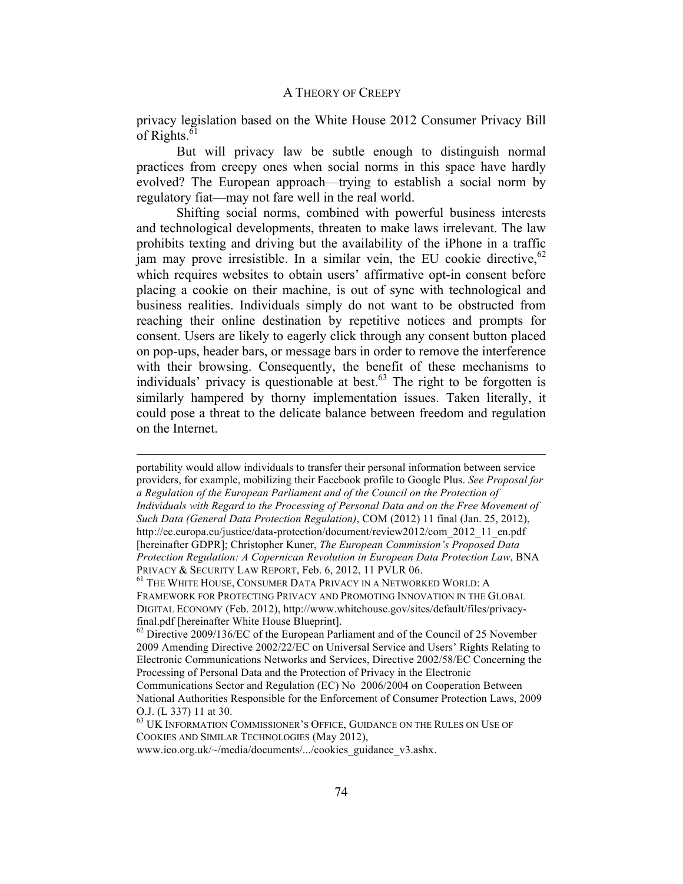privacy legislation based on the White House 2012 Consumer Privacy Bill of Rights. $61$ 

But will privacy law be subtle enough to distinguish normal practices from creepy ones when social norms in this space have hardly evolved? The European approach—trying to establish a social norm by regulatory fiat—may not fare well in the real world.

Shifting social norms, combined with powerful business interests and technological developments, threaten to make laws irrelevant. The law prohibits texting and driving but the availability of the iPhone in a traffic jam may prove irresistible. In a similar vein, the EU cookie directive,  $62$ which requires websites to obtain users' affirmative opt-in consent before placing a cookie on their machine, is out of sync with technological and business realities. Individuals simply do not want to be obstructed from reaching their online destination by repetitive notices and prompts for consent. Users are likely to eagerly click through any consent button placed on pop-ups, header bars, or message bars in order to remove the interference with their browsing. Consequently, the benefit of these mechanisms to individuals' privacy is questionable at best. $63$  The right to be forgotten is similarly hampered by thorny implementation issues. Taken literally, it could pose a threat to the delicate balance between freedom and regulation on the Internet.

 $\overline{a}$ 

portability would allow individuals to transfer their personal information between service providers, for example, mobilizing their Facebook profile to Google Plus. *See Proposal for a Regulation of the European Parliament and of the Council on the Protection of Individuals with Regard to the Processing of Personal Data and on the Free Movement of Such Data (General Data Protection Regulation)*, COM (2012) 11 final (Jan. 25, 2012), http://ec.europa.eu/justice/data-protection/document/review2012/com\_2012\_11\_en.pdf [hereinafter GDPR]; Christopher Kuner, *The European Commission's Proposed Data Protection Regulation: A Copernican Revolution in European Data Protection Law*, BNA PRIVACY & SECURITY LAW REPORT, Feb. 6, 2012, 11 PVLR 06.<br><sup>61</sup> The White House, Consumer Data Privacy in a Networked World: A

FRAMEWORK FOR PROTECTING PRIVACY AND PROMOTING INNOVATION IN THE GLOBAL DIGITAL ECONOMY (Feb. 2012), http://www.whitehouse.gov/sites/default/files/privacyfinal.pdf [hereinafter White House Blueprint]. 62 Directive 2009/136/EC of the European Parliament and of the Council of 25 November

<sup>2009</sup> Amending Directive 2002/22/EC on Universal Service and Users' Rights Relating to Electronic Communications Networks and Services, Directive 2002/58/EC Concerning the Processing of Personal Data and the Protection of Privacy in the Electronic Communications Sector and Regulation (EC) No 2006/2004 on Cooperation Between National Authorities Responsible for the Enforcement of Consumer Protection Laws, 2009

O.J. (L 337) 11 at 30.

 $^{63}$  UK INFORMATION COMMISSIONER'S OFFICE, GUIDANCE ON THE RULES ON USE OF COOKIES AND SIMILAR TECHNOLOGIES (May 2012),

www.ico.org.uk/~/media/documents/.../cookies\_guidance\_v3.ashx.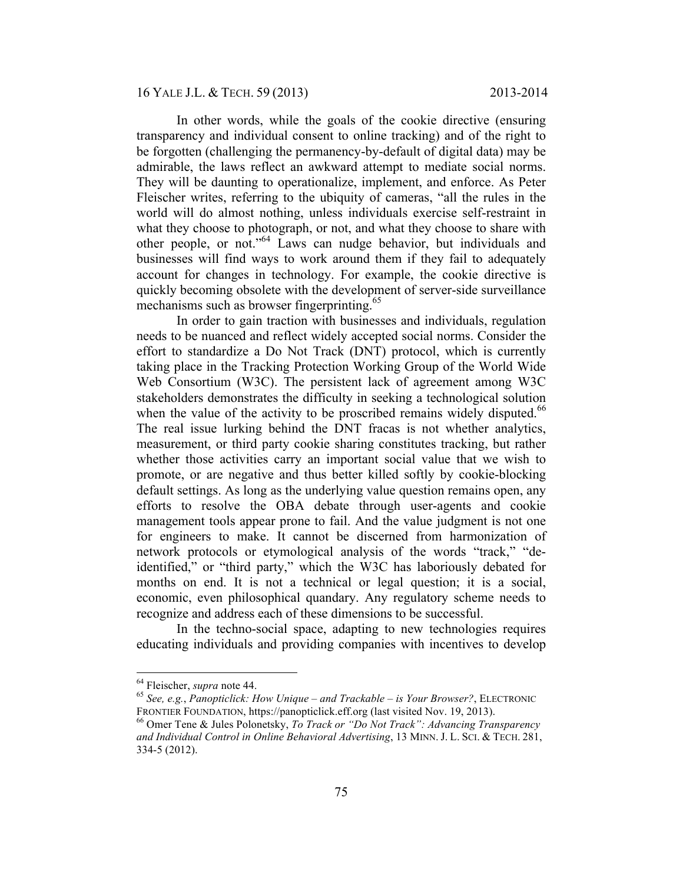16 YALE J.L. & TECH. 59 (2013) 2013-2014

In other words, while the goals of the cookie directive (ensuring transparency and individual consent to online tracking) and of the right to be forgotten (challenging the permanency-by-default of digital data) may be admirable, the laws reflect an awkward attempt to mediate social norms. They will be daunting to operationalize, implement, and enforce. As Peter Fleischer writes, referring to the ubiquity of cameras, "all the rules in the world will do almost nothing, unless individuals exercise self-restraint in what they choose to photograph, or not, and what they choose to share with other people, or not."64 Laws can nudge behavior, but individuals and businesses will find ways to work around them if they fail to adequately account for changes in technology. For example, the cookie directive is quickly becoming obsolete with the development of server-side surveillance mechanisms such as browser fingerprinting.<sup>65</sup>

In order to gain traction with businesses and individuals, regulation needs to be nuanced and reflect widely accepted social norms. Consider the effort to standardize a Do Not Track (DNT) protocol, which is currently taking place in the Tracking Protection Working Group of the World Wide Web Consortium (W3C). The persistent lack of agreement among W3C stakeholders demonstrates the difficulty in seeking a technological solution when the value of the activity to be proscribed remains widely disputed.<sup>66</sup> The real issue lurking behind the DNT fracas is not whether analytics, measurement, or third party cookie sharing constitutes tracking, but rather whether those activities carry an important social value that we wish to promote, or are negative and thus better killed softly by cookie-blocking default settings. As long as the underlying value question remains open, any efforts to resolve the OBA debate through user-agents and cookie management tools appear prone to fail. And the value judgment is not one for engineers to make. It cannot be discerned from harmonization of network protocols or etymological analysis of the words "track," "deidentified," or "third party," which the W3C has laboriously debated for months on end. It is not a technical or legal question; it is a social, economic, even philosophical quandary. Any regulatory scheme needs to recognize and address each of these dimensions to be successful.

In the techno-social space, adapting to new technologies requires educating individuals and providing companies with incentives to develop

 <sup>64</sup> Fleischer, *supra* note 44. <sup>65</sup> *See, e.g.*, *Panopticlick: How Unique – and Trackable – is Your Browser?*, ELECTRONIC FRONTIER FOUNDATION, https://panopticlick.eff.org (last visited Nov. 19, 2013).<br><sup>66</sup> Omer Tene & Jules Polonetsky, *To Track or "Do Not Track": Advancing Transparency* 

*and Individual Control in Online Behavioral Advertising*, 13 MINN. J. L. SCI. & TECH. 281, 334-5 (2012).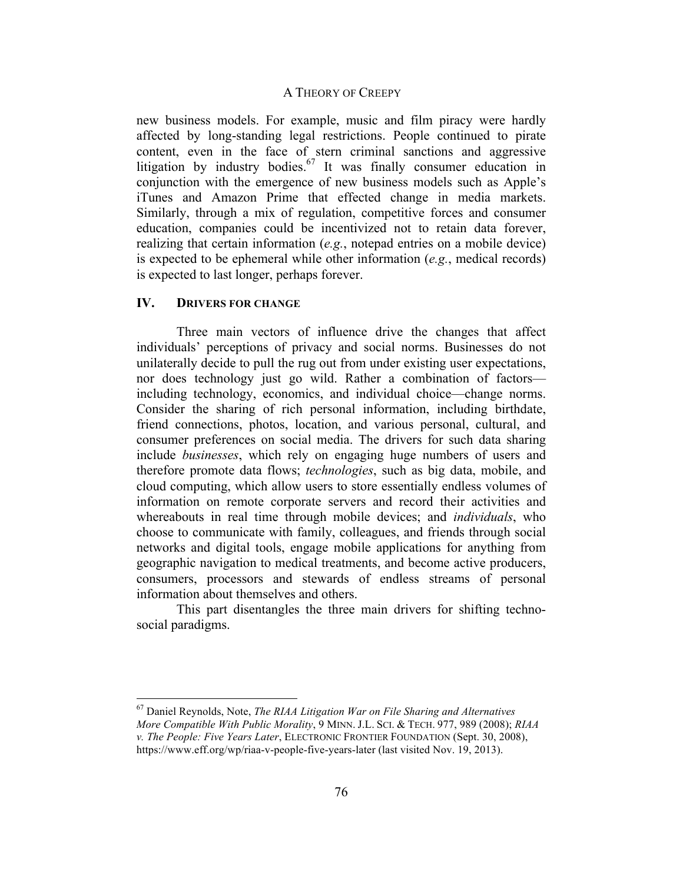new business models. For example, music and film piracy were hardly affected by long-standing legal restrictions. People continued to pirate content, even in the face of stern criminal sanctions and aggressive litigation by industry bodies.<sup>67</sup> It was finally consumer education in conjunction with the emergence of new business models such as Apple's iTunes and Amazon Prime that effected change in media markets. Similarly, through a mix of regulation, competitive forces and consumer education, companies could be incentivized not to retain data forever, realizing that certain information (*e.g.*, notepad entries on a mobile device) is expected to be ephemeral while other information (*e.g.*, medical records) is expected to last longer, perhaps forever.

#### **IV. DRIVERS FOR CHANGE**

Three main vectors of influence drive the changes that affect individuals' perceptions of privacy and social norms. Businesses do not unilaterally decide to pull the rug out from under existing user expectations, nor does technology just go wild. Rather a combination of factors including technology, economics, and individual choice—change norms. Consider the sharing of rich personal information, including birthdate, friend connections, photos, location, and various personal, cultural, and consumer preferences on social media. The drivers for such data sharing include *businesses*, which rely on engaging huge numbers of users and therefore promote data flows; *technologies*, such as big data, mobile, and cloud computing, which allow users to store essentially endless volumes of information on remote corporate servers and record their activities and whereabouts in real time through mobile devices; and *individuals*, who choose to communicate with family, colleagues, and friends through social networks and digital tools, engage mobile applications for anything from geographic navigation to medical treatments, and become active producers, consumers, processors and stewards of endless streams of personal information about themselves and others.

This part disentangles the three main drivers for shifting technosocial paradigms.

 <sup>67</sup> Daniel Reynolds, Note, *The RIAA Litigation War on File Sharing and Alternatives More Compatible With Public Morality*, 9 MINN. J.L. SCI. & TECH. 977, 989 (2008); *RIAA v. The People: Five Years Later*, ELECTRONIC FRONTIER FOUNDATION (Sept. 30, 2008), https://www.eff.org/wp/riaa-v-people-five-years-later (last visited Nov. 19, 2013).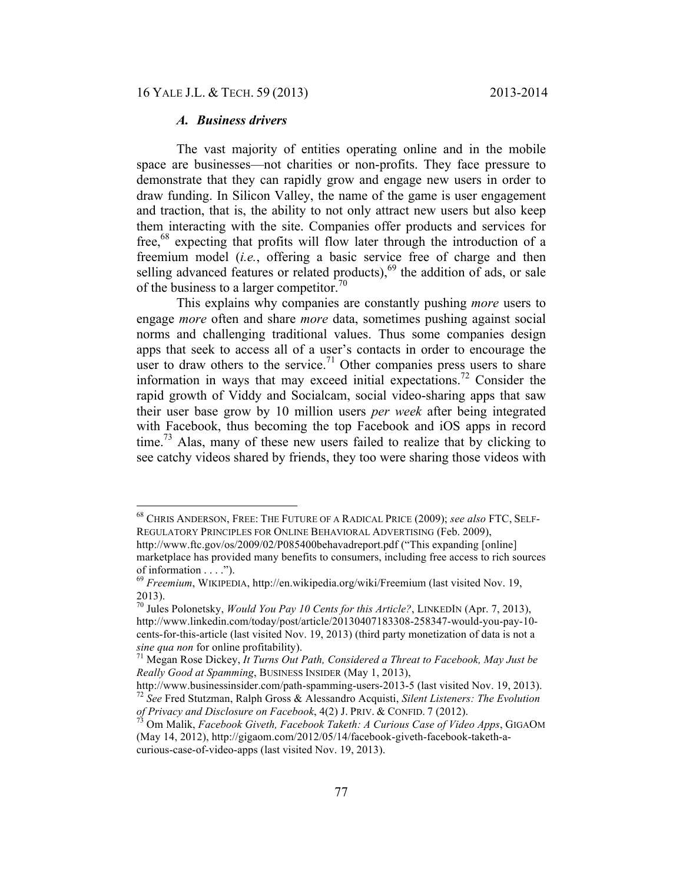## *A. Business drivers*

The vast majority of entities operating online and in the mobile space are businesses—not charities or non-profits. They face pressure to demonstrate that they can rapidly grow and engage new users in order to draw funding. In Silicon Valley, the name of the game is user engagement and traction, that is, the ability to not only attract new users but also keep them interacting with the site. Companies offer products and services for free,<sup>68</sup> expecting that profits will flow later through the introduction of a freemium model (*i.e.*, offering a basic service free of charge and then selling advanced features or related products), $69$  the addition of ads, or sale of the business to a larger competitor.<sup>70</sup>

This explains why companies are constantly pushing *more* users to engage *more* often and share *more* data, sometimes pushing against social norms and challenging traditional values. Thus some companies design apps that seek to access all of a user's contacts in order to encourage the user to draw others to the service.<sup>71</sup> Other companies press users to share information in ways that may exceed initial expectations.<sup>72</sup> Consider the rapid growth of Viddy and Socialcam, social video-sharing apps that saw their user base grow by 10 million users *per week* after being integrated with Facebook, thus becoming the top Facebook and iOS apps in record time.<sup>73</sup> Alas, many of these new users failed to realize that by clicking to see catchy videos shared by friends, they too were sharing those videos with

 <sup>68</sup> CHRIS ANDERSON, FREE: THE FUTURE OF A RADICAL PRICE (2009); *see also* FTC, SELF-REGULATORY PRINCIPLES FOR ONLINE BEHAVIORAL ADVERTISING (Feb. 2009),

http://www.ftc.gov/os/2009/02/P085400behavadreport.pdf ("This expanding [online] marketplace has provided many benefits to consumers, including free access to rich sources of information . . . .").

<sup>69</sup> *Freemium*, WIKIPEDIA, http://en.wikipedia.org/wiki/Freemium (last visited Nov. 19, 2013).

<sup>70</sup> Jules Polonetsky, *Would You Pay 10 Cents for this Article?*, LINKEDIN (Apr. 7, 2013), http://www.linkedin.com/today/post/article/20130407183308-258347-would-you-pay-10 cents-for-this-article (last visited Nov. 19, 2013) (third party monetization of data is not a *sine qua non for online profitability*).<br><sup>71</sup> Megan Rose Dickey, *It Turns Out Path, Considered a Threat to Facebook, May Just be* 

*Really Good at Spamming*, BUSINESS INSIDER (May 1, 2013),

http://www.businessinsider.com/path-spamming-users-2013-5 (last visited Nov. 19, 2013). 72 *See* Fred Stutzman, Ralph Gross & Alessandro Acquisti, *Silent Listeners: The Evolution of Privacy and Disclosure on Facebook*, 4(2) J. PRIV. & CONFID. 7 (2012). 73 Om Malik, *Facebook Giveth, Facebook Taketh: A Curious Case of Video Apps*, GIGAOM

<sup>(</sup>May 14, 2012), http://gigaom.com/2012/05/14/facebook-giveth-facebook-taketh-acurious-case-of-video-apps (last visited Nov. 19, 2013).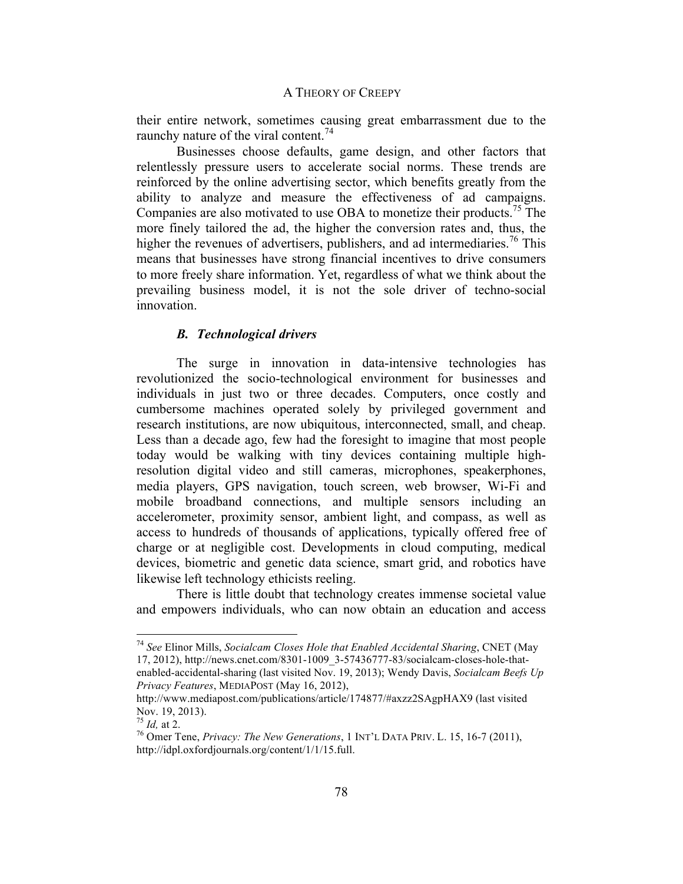their entire network, sometimes causing great embarrassment due to the raunchy nature of the viral content.<sup>74</sup>

Businesses choose defaults, game design, and other factors that relentlessly pressure users to accelerate social norms. These trends are reinforced by the online advertising sector, which benefits greatly from the ability to analyze and measure the effectiveness of ad campaigns. Companies are also motivated to use OBA to monetize their products.<sup>75</sup> The more finely tailored the ad, the higher the conversion rates and, thus, the higher the revenues of advertisers, publishers, and ad intermediaries.<sup>76</sup> This means that businesses have strong financial incentives to drive consumers to more freely share information. Yet, regardless of what we think about the prevailing business model, it is not the sole driver of techno-social innovation.

## *B. Technological drivers*

The surge in innovation in data-intensive technologies has revolutionized the socio-technological environment for businesses and individuals in just two or three decades. Computers, once costly and cumbersome machines operated solely by privileged government and research institutions, are now ubiquitous, interconnected, small, and cheap. Less than a decade ago, few had the foresight to imagine that most people today would be walking with tiny devices containing multiple highresolution digital video and still cameras, microphones, speakerphones, media players, GPS navigation, touch screen, web browser, Wi-Fi and mobile broadband connections, and multiple sensors including an accelerometer, proximity sensor, ambient light, and compass, as well as access to hundreds of thousands of applications, typically offered free of charge or at negligible cost. Developments in cloud computing, medical devices, biometric and genetic data science, smart grid, and robotics have likewise left technology ethicists reeling.

There is little doubt that technology creates immense societal value and empowers individuals, who can now obtain an education and access

 <sup>74</sup> *See* Elinor Mills, *Socialcam Closes Hole that Enabled Accidental Sharing*, CNET (May 17, 2012), http://news.cnet.com/8301-1009\_3-57436777-83/socialcam-closes-hole-thatenabled-accidental-sharing (last visited Nov. 19, 2013); Wendy Davis, *Socialcam Beefs Up Privacy Features*, MEDIAPOST (May 16, 2012),

http://www.mediapost.com/publications/article/174877/#axzz2SAgpHAX9 (last visited Nov. 19, 2013).<br><sup>75</sup> *Id.* at 2.

<sup>&</sup>lt;sup>76</sup> Omer Tene, *Privacy: The New Generations*, 1 INT'L DATA PRIV. L. 15, 16-7 (2011), http://idpl.oxfordjournals.org/content/1/1/15.full.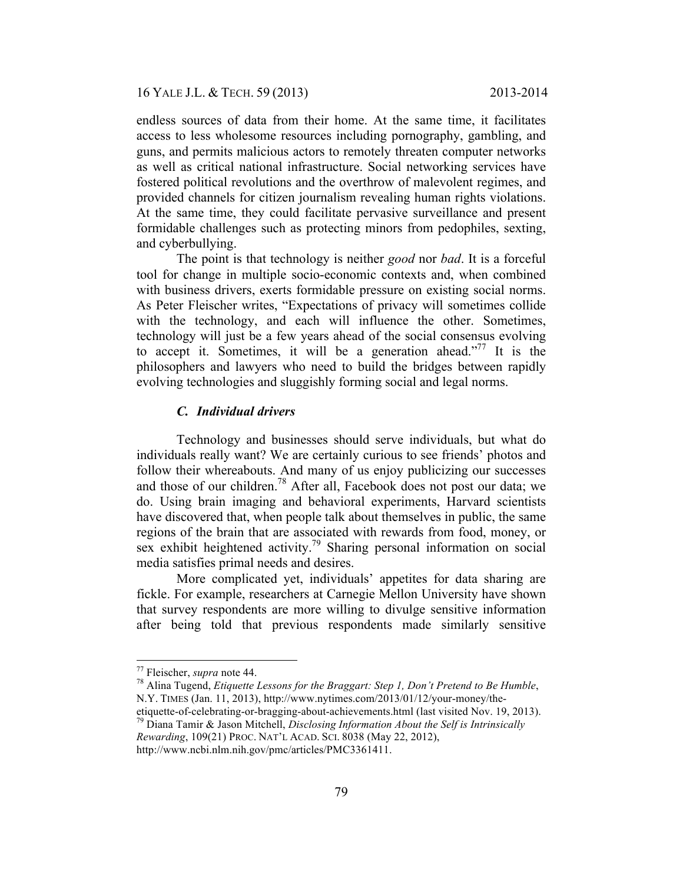endless sources of data from their home. At the same time, it facilitates access to less wholesome resources including pornography, gambling, and guns, and permits malicious actors to remotely threaten computer networks as well as critical national infrastructure. Social networking services have fostered political revolutions and the overthrow of malevolent regimes, and provided channels for citizen journalism revealing human rights violations. At the same time, they could facilitate pervasive surveillance and present formidable challenges such as protecting minors from pedophiles, sexting, and cyberbullying.

The point is that technology is neither *good* nor *bad*. It is a forceful tool for change in multiple socio-economic contexts and, when combined with business drivers, exerts formidable pressure on existing social norms. As Peter Fleischer writes, "Expectations of privacy will sometimes collide with the technology, and each will influence the other. Sometimes, technology will just be a few years ahead of the social consensus evolving to accept it. Sometimes, it will be a generation ahead."<sup>77</sup> It is the philosophers and lawyers who need to build the bridges between rapidly evolving technologies and sluggishly forming social and legal norms.

## *C. Individual drivers*

Technology and businesses should serve individuals, but what do individuals really want? We are certainly curious to see friends' photos and follow their whereabouts. And many of us enjoy publicizing our successes and those of our children.<sup>78</sup> After all, Facebook does not post our data; we do. Using brain imaging and behavioral experiments, Harvard scientists have discovered that, when people talk about themselves in public, the same regions of the brain that are associated with rewards from food, money, or sex exhibit heightened activity.<sup>79</sup> Sharing personal information on social media satisfies primal needs and desires.

More complicated yet, individuals' appetites for data sharing are fickle. For example, researchers at Carnegie Mellon University have shown that survey respondents are more willing to divulge sensitive information after being told that previous respondents made similarly sensitive

 <sup>77</sup> Fleischer, *supra* note 44. 78 Alina Tugend, *Etiquette Lessons for the Braggart: Step 1, Don't Pretend to Be Humble*, N.Y. TIMES (Jan. 11, 2013), http://www.nytimes.com/2013/01/12/your-money/the-<br>etiquette-of-celebrating-or-bragging-about-achievements.html (last visited Nov. 19, 2013).

<sup>&</sup>lt;sup>79</sup> Diana Tamir & Jason Mitchell, *Disclosing Information About the Self is Intrinsically Rewarding*, 109(21) PROC. NAT'L ACAD. SCI. 8038 (May 22, 2012),

http://www.ncbi.nlm.nih.gov/pmc/articles/PMC3361411.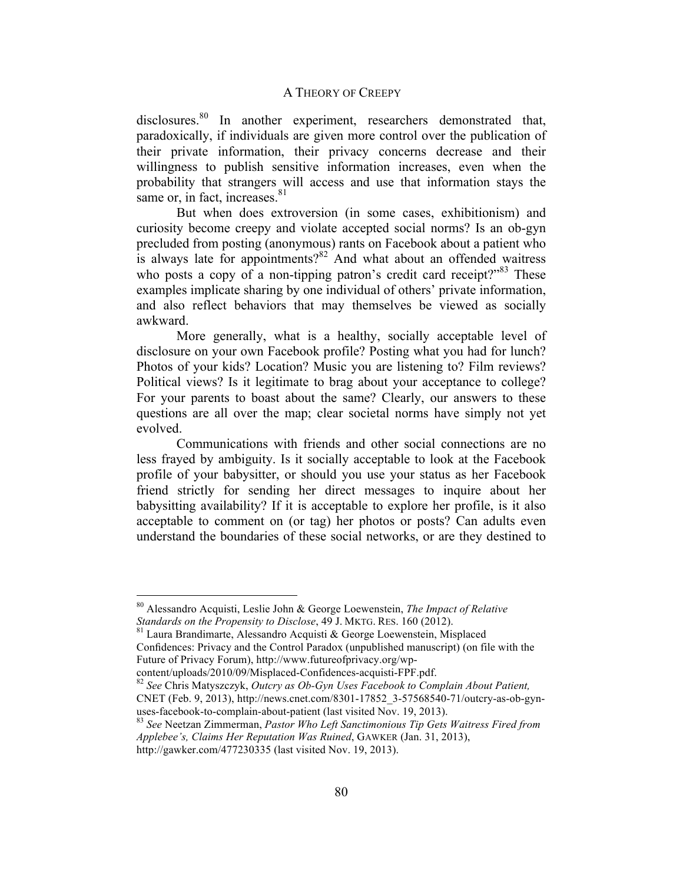disclosures.<sup>80</sup> In another experiment, researchers demonstrated that, paradoxically, if individuals are given more control over the publication of their private information, their privacy concerns decrease and their willingness to publish sensitive information increases, even when the probability that strangers will access and use that information stays the same or, in fact, increases. $81$ 

But when does extroversion (in some cases, exhibitionism) and curiosity become creepy and violate accepted social norms? Is an ob-gyn precluded from posting (anonymous) rants on Facebook about a patient who is always late for appointments? $82$  And what about an offended waitress who posts a copy of a non-tipping patron's credit card receipt? $83$  These examples implicate sharing by one individual of others' private information, and also reflect behaviors that may themselves be viewed as socially awkward.

More generally, what is a healthy, socially acceptable level of disclosure on your own Facebook profile? Posting what you had for lunch? Photos of your kids? Location? Music you are listening to? Film reviews? Political views? Is it legitimate to brag about your acceptance to college? For your parents to boast about the same? Clearly, our answers to these questions are all over the map; clear societal norms have simply not yet evolved.

Communications with friends and other social connections are no less frayed by ambiguity. Is it socially acceptable to look at the Facebook profile of your babysitter, or should you use your status as her Facebook friend strictly for sending her direct messages to inquire about her babysitting availability? If it is acceptable to explore her profile, is it also acceptable to comment on (or tag) her photos or posts? Can adults even understand the boundaries of these social networks, or are they destined to

<sup>81</sup> Laura Brandimarte, Alessandro Acquisti & George Loewenstein, Misplaced Confidences: Privacy and the Control Paradox (unpublished manuscript) (on file with the Future of Privacy Forum), http://www.futureofprivacy.org/wp-

content/uploads/2010/09/Misplaced-Confidences-acquisti-FPF.pdf. <sup>82</sup> *See* Chris Matyszczyk, *Outcry as Ob-Gyn Uses Facebook to Complain About Patient,* CNET (Feb. 9, 2013), http://news.cnet.com/8301-17852\_3-57568540-71/outcry-as-ob-gynuses-facebook-to-complain-about-patient (last visited Nov. 19, 2013).<br><sup>83</sup> *See* Neetzan Zimmerman, *Pastor Who Left Sanctimonious Tip Gets Waitress Fired from* 

 <sup>80</sup> Alessandro Acquisti, Leslie John & George Loewenstein, *The Impact of Relative* 

*Applebee's, Claims Her Reputation Was Ruined*, GAWKER (Jan. 31, 2013), http://gawker.com/477230335 (last visited Nov. 19, 2013).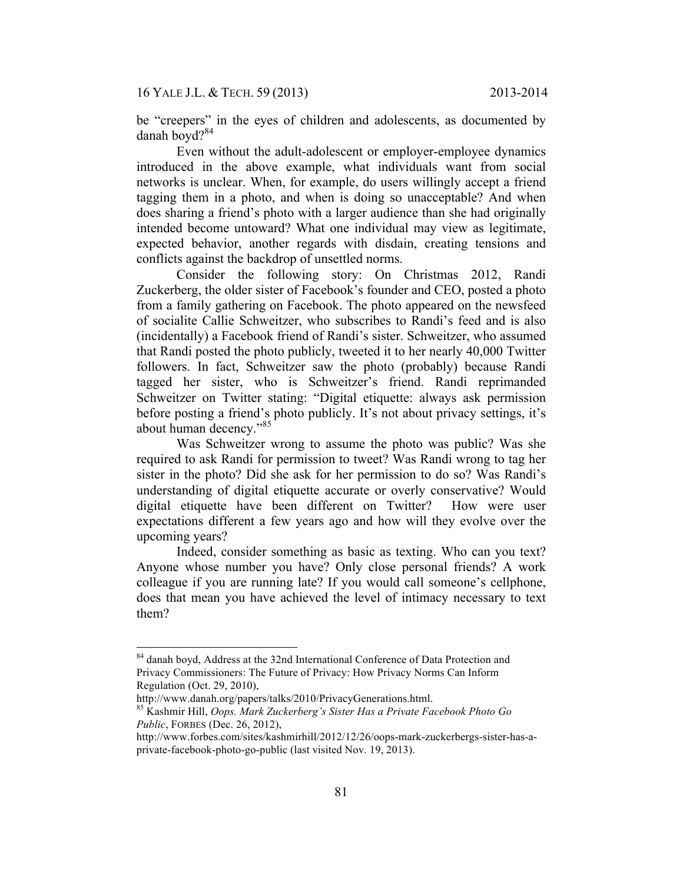be "creepers" in the eyes of children and adolescents, as documented by danah boyd $2^{84}$ 

Even without the adult-adolescent or employer-employee dynamics introduced in the above example, what individuals want from social networks is unclear. When, for example, do users willingly accept a friend tagging them in a photo, and when is doing so unacceptable? And when does sharing a friend's photo with a larger audience than she had originally intended become untoward? What one individual may view as legitimate, expected behavior, another regards with disdain, creating tensions and conflicts against the backdrop of unsettled norms.

Consider the following story: On Christmas 2012, Randi Zuckerberg, the older sister of Facebook's founder and CEO, posted a photo from a family gathering on Facebook. The photo appeared on the newsfeed of socialite Callie Schweitzer, who subscribes to Randi's feed and is also (incidentally) a Facebook friend of Randi's sister. Schweitzer, who assumed that Randi posted the photo publicly, tweeted it to her nearly 40,000 Twitter followers. In fact, Schweitzer saw the photo (probably) because Randi tagged her sister, who is Schweitzer's friend. Randi reprimanded Schweitzer on Twitter stating: "Digital etiquette: always ask permission before posting a friend's photo publicly. It's not about privacy settings, it's about human decency."<sup>85</sup>

Was Schweitzer wrong to assume the photo was public? Was she required to ask Randi for permission to tweet? Was Randi wrong to tag her sister in the photo? Did she ask for her permission to do so? Was Randi's understanding of digital etiquette accurate or overly conservative? Would digital etiquette have been different on Twitter? How were user expectations different a few years ago and how will they evolve over the upcoming years?

Indeed, consider something as basic as texting. Who can you text? Anyone whose number you have? Only close personal friends? A work colleague if you are running late? If you would call someone's cellphone, does that mean you have achieved the level of intimacy necessary to text them?

<sup>&</sup>lt;sup>84</sup> danah boyd, Address at the 32nd International Conference of Data Protection and Privacy Commissioners: The Future of Privacy: How Privacy Norms Can Inform Regulation (Oct. 29, 2010),

http://www.danah.org/papers/talks/2010/PrivacyGenerations.html. 85 Kashmir Hill, *Oops. Mark Zuckerberg's Sister Has a Private Facebook Photo Go Public*, FORBES (Dec. 26, 2012),

http://www.forbes.com/sites/kashmirhill/2012/12/26/oops-mark-zuckerbergs-sister-has-aprivate-facebook-photo-go-public (last visited Nov. 19, 2013).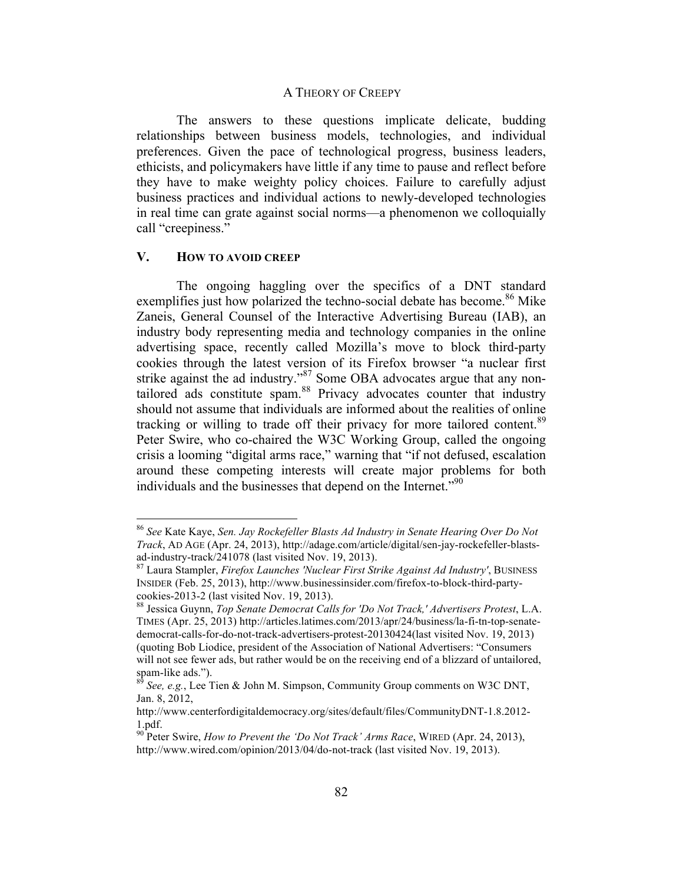The answers to these questions implicate delicate, budding relationships between business models, technologies, and individual preferences. Given the pace of technological progress, business leaders, ethicists, and policymakers have little if any time to pause and reflect before they have to make weighty policy choices. Failure to carefully adjust business practices and individual actions to newly-developed technologies in real time can grate against social norms—a phenomenon we colloquially call "creepiness."

### **V. HOW TO AVOID CREEP**

The ongoing haggling over the specifics of a DNT standard exemplifies just how polarized the techno-social debate has become.<sup>86</sup> Mike Zaneis, General Counsel of the Interactive Advertising Bureau (IAB), an industry body representing media and technology companies in the online advertising space, recently called Mozilla's move to block third-party cookies through the latest version of its Firefox browser "a nuclear first strike against the ad industry."<sup>87</sup> Some OBA advocates argue that any nontailored ads constitute spam.<sup>88</sup> Privacy advocates counter that industry should not assume that individuals are informed about the realities of online tracking or willing to trade off their privacy for more tailored content.<sup>89</sup> Peter Swire, who co-chaired the W3C Working Group, called the ongoing crisis a looming "digital arms race," warning that "if not defused, escalation around these competing interests will create major problems for both individuals and the businesses that depend on the Internet.<sup>"90</sup>

 <sup>86</sup> *See* Kate Kaye, *Sen. Jay Rockefeller Blasts Ad Industry in Senate Hearing Over Do Not Track*, AD AGE (Apr. 24, 2013), http://adage.com/article/digital/sen-jay-rockefeller-blastsad-industry-track/241078 (last visited Nov. 19, 2013). 87 Laura Stampler, *Firefox Launches 'Nuclear First Strike Against Ad Industry'*, BUSINESS

INSIDER (Feb. 25, 2013), http://www.businessinsider.com/firefox-to-block-third-partycookies-2013-2 (last visited Nov. 19, 2013).<br><sup>88</sup> Jessica Guynn, *Top Senate Democrat Calls for 'Do Not Track,' Advertisers Protest*, L.A.

TIMES (Apr. 25, 2013) http://articles.latimes.com/2013/apr/24/business/la-fi-tn-top-senatedemocrat-calls-for-do-not-track-advertisers-protest-20130424(last visited Nov. 19, 2013) (quoting Bob Liodice, president of the Association of National Advertisers: "Consumers will not see fewer ads, but rather would be on the receiving end of a blizzard of untailored, spam-like ads.").<br><sup>89</sup> Secondary 1.1 The property of the state of the state of the state of the state of the state of the state

 $\delta$  *See, e.g.*, Lee Tien & John M. Simpson, Community Group comments on W3C DNT, Jan. 8, 2012,

http://www.centerfordigitaldemocracy.org/sites/default/files/CommunityDNT-1.8.2012- 1.pdf.<br><sup>90</sup> Peter Swire, *How to Prevent the 'Do Not Track' Arms Race*, WIRED (Apr. 24, 2013),

http://www.wired.com/opinion/2013/04/do-not-track (last visited Nov. 19, 2013).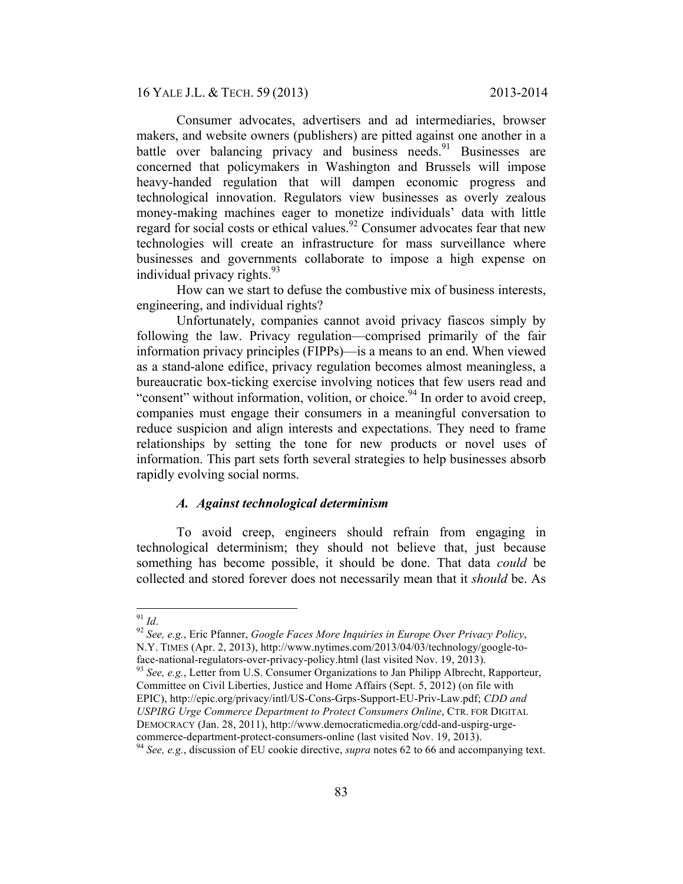16 YALE J.L. & TECH. 59 (2013) 2013-2014

Consumer advocates, advertisers and ad intermediaries, browser makers, and website owners (publishers) are pitted against one another in a battle over balancing privacy and business needs.<sup>91</sup> Businesses are concerned that policymakers in Washington and Brussels will impose heavy-handed regulation that will dampen economic progress and technological innovation. Regulators view businesses as overly zealous money-making machines eager to monetize individuals' data with little regard for social costs or ethical values.<sup>92</sup> Consumer advocates fear that new technologies will create an infrastructure for mass surveillance where businesses and governments collaborate to impose a high expense on individual privacy rights. $93$ 

How can we start to defuse the combustive mix of business interests, engineering, and individual rights?

Unfortunately, companies cannot avoid privacy fiascos simply by following the law. Privacy regulation—comprised primarily of the fair information privacy principles (FIPPs)—is a means to an end. When viewed as a stand-alone edifice, privacy regulation becomes almost meaningless, a bureaucratic box-ticking exercise involving notices that few users read and "consent" without information, volition, or choice.<sup>94</sup> In order to avoid creep, companies must engage their consumers in a meaningful conversation to reduce suspicion and align interests and expectations. They need to frame relationships by setting the tone for new products or novel uses of information. This part sets forth several strategies to help businesses absorb rapidly evolving social norms.

## *A. Against technological determinism*

To avoid creep, engineers should refrain from engaging in technological determinism; they should not believe that, just because something has become possible, it should be done. That data *could* be collected and stored forever does not necessarily mean that it *should* be. As

commerce-department-protect-consumers-online (last visited Nov. 19, 2013). 94 *See, e.g.*, discussion of EU cookie directive, *supra* notes 62 to 66 and accompanying text.

<sup>91</sup> *Id*. <sup>92</sup> *See, e.g.*, Eric Pfanner, *Google Faces More Inquiries in Europe Over Privacy Policy*, N.Y. TIMES (Apr. 2, 2013), http://www.nytimes.com/2013/04/03/technology/google-to-

face-national-regulators-over-privacy-policy.html (last visited Nov. 19, 2013). <sup>93</sup> *See, e.g.*, Letter from U.S. Consumer Organizations to Jan Philipp Albrecht, Rapporteur, Committee on Civil Liberties, Justice and Home Affairs (Sept. 5, 2012) (on file with EPIC), http://epic.org/privacy/intl/US-Cons-Grps-Support-EU-Priv-Law.pdf; *CDD and USPIRG Urge Commerce Department to Protect Consumers Online*, CTR. FOR DIGITAL DEMOCRACY (Jan. 28, 2011), http://www.democraticmedia.org/cdd-and-uspirg-urge-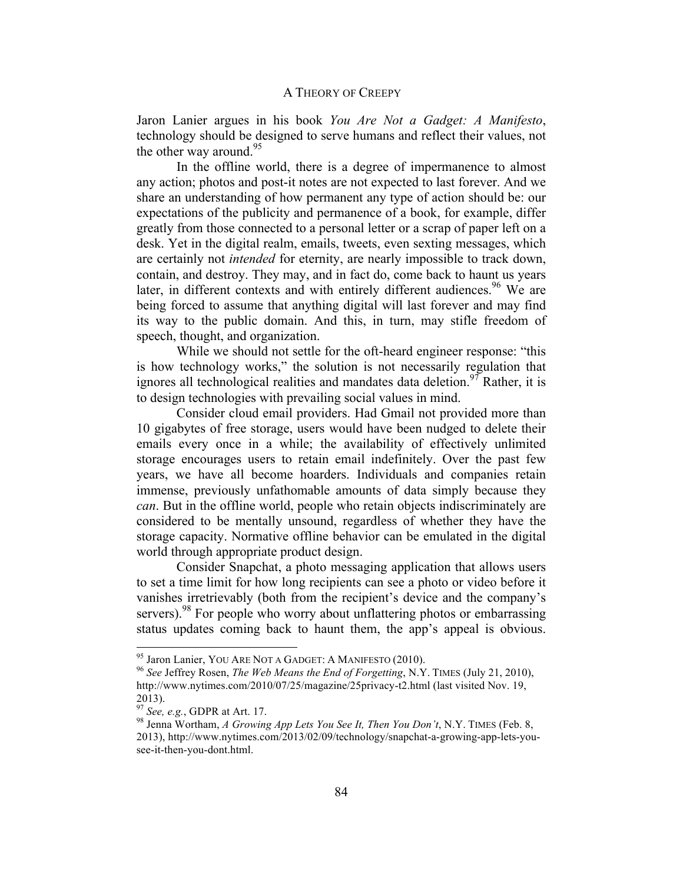Jaron Lanier argues in his book *You Are Not a Gadget: A Manifesto*, technology should be designed to serve humans and reflect their values, not the other way around.<sup>95</sup>

In the offline world, there is a degree of impermanence to almost any action; photos and post-it notes are not expected to last forever. And we share an understanding of how permanent any type of action should be: our expectations of the publicity and permanence of a book, for example, differ greatly from those connected to a personal letter or a scrap of paper left on a desk. Yet in the digital realm, emails, tweets, even sexting messages, which are certainly not *intended* for eternity, are nearly impossible to track down, contain, and destroy. They may, and in fact do, come back to haunt us years later, in different contexts and with entirely different audiences.<sup>96</sup> We are being forced to assume that anything digital will last forever and may find its way to the public domain. And this, in turn, may stifle freedom of speech, thought, and organization.

While we should not settle for the oft-heard engineer response: "this is how technology works," the solution is not necessarily regulation that ignores all technological realities and mandates data deletion.<sup>97</sup> Rather, it is to design technologies with prevailing social values in mind.

Consider cloud email providers. Had Gmail not provided more than 10 gigabytes of free storage, users would have been nudged to delete their emails every once in a while; the availability of effectively unlimited storage encourages users to retain email indefinitely. Over the past few years, we have all become hoarders. Individuals and companies retain immense, previously unfathomable amounts of data simply because they *can*. But in the offline world, people who retain objects indiscriminately are considered to be mentally unsound, regardless of whether they have the storage capacity. Normative offline behavior can be emulated in the digital world through appropriate product design.

Consider Snapchat, a photo messaging application that allows users to set a time limit for how long recipients can see a photo or video before it vanishes irretrievably (both from the recipient's device and the company's servers).<sup>98</sup> For people who worry about unflattering photos or embarrassing status updates coming back to haunt them, the app's appeal is obvious.

 <sup>95</sup> Jaron Lanier, YOU ARE NOT A GADGET: <sup>A</sup> MANIFESTO (2010). <sup>96</sup> *See* Jeffrey Rosen, *The Web Means the End of Forgetting*, N.Y. TIMES (July 21, 2010), http://www.nytimes.com/2010/07/25/magazine/25privacy-t2.html (last visited Nov. 19, 2013).<br><sup>97</sup> See, e.g., GDPR at Art. 17.

<sup>&</sup>lt;sup>98</sup> Jenna Wortham, *A Growing App Lets You See It, Then You Don't*, N.Y. TIMES (Feb. 8, 2013), http://www.nytimes.com/2013/02/09/technology/snapchat-a-growing-app-lets-yousee-it-then-you-dont.html.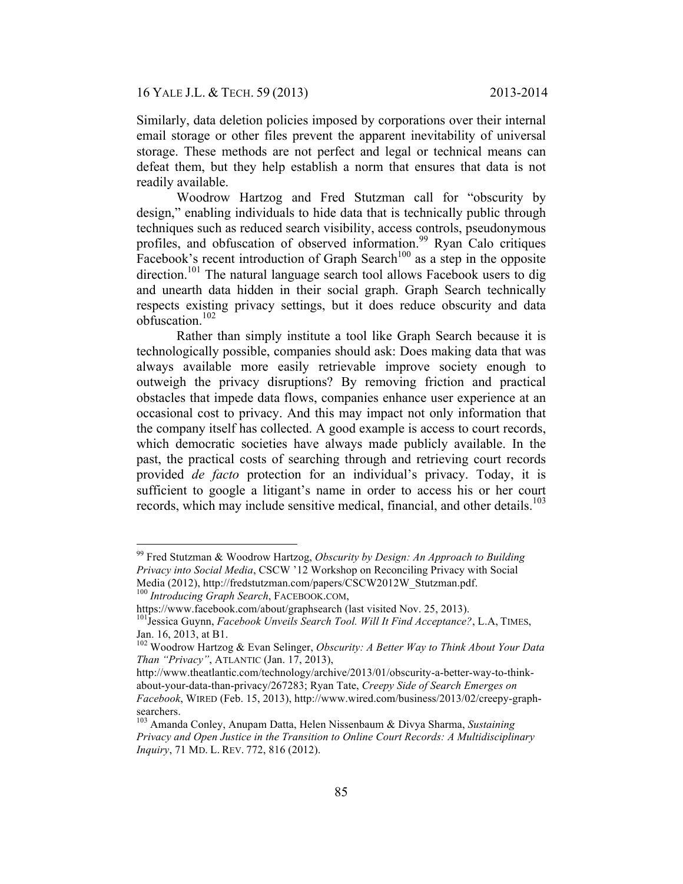Similarly, data deletion policies imposed by corporations over their internal email storage or other files prevent the apparent inevitability of universal storage. These methods are not perfect and legal or technical means can defeat them, but they help establish a norm that ensures that data is not readily available.

Woodrow Hartzog and Fred Stutzman call for "obscurity by design," enabling individuals to hide data that is technically public through techniques such as reduced search visibility, access controls, pseudonymous profiles, and obfuscation of observed information.<sup>99</sup> Ryan Calo critiques Facebook's recent introduction of Graph Search<sup>100</sup> as a step in the opposite direction.<sup>101</sup> The natural language search tool allows Facebook users to dig and unearth data hidden in their social graph. Graph Search technically respects existing privacy settings, but it does reduce obscurity and data obfuscation.<sup>102</sup>

Rather than simply institute a tool like Graph Search because it is technologically possible, companies should ask: Does making data that was always available more easily retrievable improve society enough to outweigh the privacy disruptions? By removing friction and practical obstacles that impede data flows, companies enhance user experience at an occasional cost to privacy. And this may impact not only information that the company itself has collected. A good example is access to court records, which democratic societies have always made publicly available. In the past, the practical costs of searching through and retrieving court records provided *de facto* protection for an individual's privacy. Today, it is sufficient to google a litigant's name in order to access his or her court records, which may include sensitive medical, financial, and other details.<sup>103</sup>

 <sup>99</sup> Fred Stutzman & Woodrow Hartzog, *Obscurity by Design: An Approach to Building Privacy into Social Media*, CSCW '12 Workshop on Reconciling Privacy with Social Media (2012), http://fredstutzman.com/papers/CSCW2012W\_Stutzman.pdf. <sup>100</sup> *Introducing Graph Search*, FACEBOOK.COM,

https://www.facebook.com/about/graphsearch (last visited Nov. 25, 2013).<br><sup>101</sup>Jessica Guynn, *Facebook Unveils Search Tool. Will It Find Acceptance?*, L.A, TIMES, Jan. 16, 2013, at B1.

<sup>&</sup>lt;sup>102</sup> Woodrow Hartzog & Evan Selinger, *Obscurity: A Better Way to Think About Your Data Than "Privacy"*, ATLANTIC (Jan. 17, 2013),

http://www.theatlantic.com/technology/archive/2013/01/obscurity-a-better-way-to-thinkabout-your-data-than-privacy/267283; Ryan Tate, *Creepy Side of Search Emerges on Facebook*, WIRED (Feb. 15, 2013), http://www.wired.com/business/2013/02/creepy-graph-

<sup>&</sup>lt;sup>103</sup> Amanda Conley, Anupam Datta, Helen Nissenbaum & Divya Sharma, *Sustaining Privacy and Open Justice in the Transition to Online Court Records: A Multidisciplinary Inquiry*, 71 MD. L. REV. 772, 816 (2012).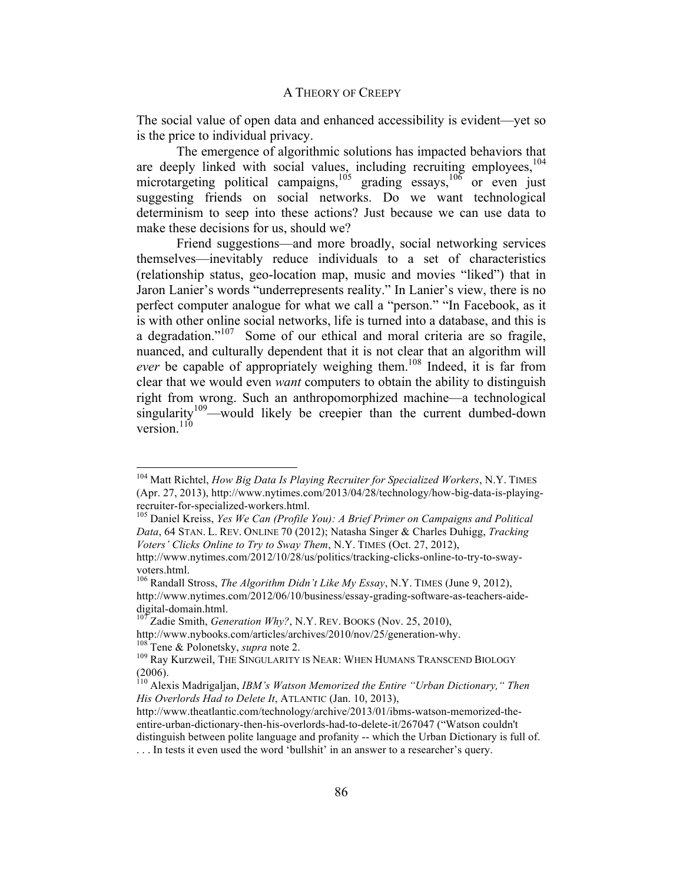The social value of open data and enhanced accessibility is evident—yet so is the price to individual privacy.

The emergence of algorithmic solutions has impacted behaviors that are deeply linked with social values, including recruiting employees, $104$ microtargeting political campaigns, $105$  grading essays, $106$  or even just suggesting friends on social networks. Do we want technological determinism to seep into these actions? Just because we can use data to make these decisions for us, should we?

Friend suggestions—and more broadly, social networking services themselves—inevitably reduce individuals to a set of characteristics (relationship status, geo-location map, music and movies "liked") that in Jaron Lanier's words "underrepresents reality." In Lanier's view, there is no perfect computer analogue for what we call a "person." "In Facebook, as it is with other online social networks, life is turned into a database, and this is a degradation."107 Some of our ethical and moral criteria are so fragile, nuanced, and culturally dependent that it is not clear that an algorithm will *ever* be capable of appropriately weighing them.<sup>108</sup> Indeed, it is far from clear that we would even *want* computers to obtain the ability to distinguish right from wrong. Such an anthropomorphized machine—a technological  $s$ ingularity<sup>109</sup>—would likely be creepier than the current dumbed-down version. $110$ 

 <sup>104</sup> Matt Richtel, *How Big Data Is Playing Recruiter for Specialized Workers*, N.Y. TIMES (Apr. 27, 2013), http://www.nytimes.com/2013/04/28/technology/how-big-data-is-playingrecruiter-for-specialized-workers.html.<br><sup>105</sup> Daniel Kreiss, *Yes We Can (Profile You): A Brief Primer on Campaigns and Political* 

*Data*, 64 STAN. L. REV. ONLINE 70 (2012); Natasha Singer & Charles Duhigg, *Tracking Voters' Clicks Online to Try to Sway Them*, N.Y. TIMES (Oct. 27, 2012),

http://www.nytimes.com/2012/10/28/us/politics/tracking-clicks-online-to-try-to-swayvoters.html.<br><sup>106</sup> Randall Stross, *The Algorithm Didn't Like My Essay*, N.Y. TIMES (June 9, 2012),

http://www.nytimes.com/2012/06/10/business/essay-grading-software-as-teachers-aide-<br>digital-domain.html.<br> $\frac{107}{3}$  and  $\frac{107}{3}$  and  $\frac{107}{3}$  and  $\frac{107}{3}$  and  $\frac{107}{3}$  and  $\frac{107}{3}$  and  $\frac{107}{3}$  and  $\frac{1$ 

<sup>&</sup>lt;sup>107</sup> Zadie Smith, *Generation Why?*, N.Y. REV. BOOKS (Nov. 25, 2010), http://www.nybooks.com/articles/archives/2010/nov/25/generation-why.

<sup>&</sup>lt;sup>108</sup> Tene & Polonetsky, *supra* note 2.<br><sup>109</sup> Ray Kurzweil, THE SINGULARITY IS NEAR: WHEN HUMANS TRANSCEND BIOLOGY (2006).

<sup>110</sup> Alexis Madrigaljan, *IBM's Watson Memorized the Entire "Urban Dictionary," Then His Overlords Had to Delete It*, ATLANTIC (Jan. 10, 2013),

http://www.theatlantic.com/technology/archive/2013/01/ibms-watson-memorized-theentire-urban-dictionary-then-his-overlords-had-to-delete-it/267047 ("Watson couldn't distinguish between polite language and profanity -- which the Urban Dictionary is full of.

<sup>.</sup> . . In tests it even used the word 'bullshit' in an answer to a researcher's query.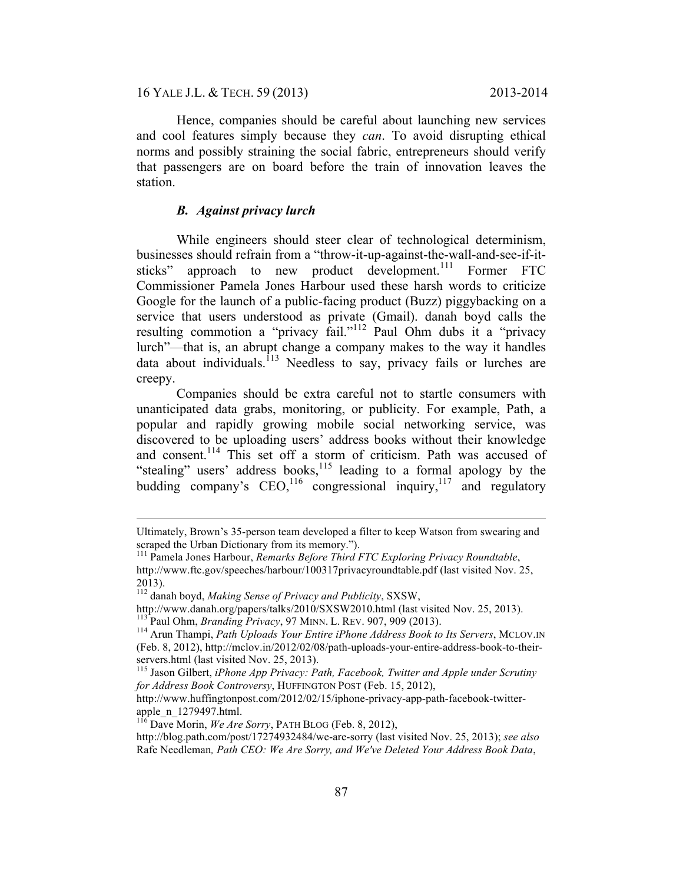16 YALE J.L. & TECH. 59 (2013) 2013-2014

Hence, companies should be careful about launching new services and cool features simply because they *can*. To avoid disrupting ethical norms and possibly straining the social fabric, entrepreneurs should verify that passengers are on board before the train of innovation leaves the station.

## *B. Against privacy lurch*

While engineers should steer clear of technological determinism, businesses should refrain from a "throw-it-up-against-the-wall-and-see-if-itsticks" approach to new product development.<sup>111</sup> Former FTC Commissioner Pamela Jones Harbour used these harsh words to criticize Google for the launch of a public-facing product (Buzz) piggybacking on a service that users understood as private (Gmail). danah boyd calls the resulting commotion a "privacy fail."<sup>112</sup> Paul Ohm dubs it a "privacy lurch"—that is, an abrupt change a company makes to the way it handles data about individuals.<sup>113</sup> Needless to say, privacy fails or lurches are creepy.

Companies should be extra careful not to startle consumers with unanticipated data grabs, monitoring, or publicity. For example, Path, a popular and rapidly growing mobile social networking service, was discovered to be uploading users' address books without their knowledge and consent.<sup>114</sup> This set off a storm of criticism. Path was accused of "stealing" users' address books,<sup>115</sup> leading to a formal apology by the budding company's  $CEO<sub>116</sub>$  congressional inquiry,<sup>117</sup> and regulatory

Ultimately, Brown's 35-person team developed a filter to keep Watson from swearing and scraped the Urban Dictionary from its memory.").<br><sup>111</sup> Pamela Jones Harbour, *Remarks Before Third FTC Exploring Privacy Roundtable*,

http://www.ftc.gov/speeches/harbour/100317privacyroundtable.pdf (last visited Nov. 25, 2013).

<sup>112</sup> danah boyd, *Making Sense of Privacy and Publicity*, SXSW,

http://www.danah.org/papers/talks/2010/SXSW2010.html (last visited Nov. 25, 2013).<br><sup>113</sup> Paul Ohm, *Branding Privacy*, 97 MINN. L. REV. 907, 909 (2013).<br><sup>114</sup> Arun Thampi, *Path Uploads Your Entire iPhone Address Book to I* 

<sup>(</sup>Feb. 8, 2012), http://mclov.in/2012/02/08/path-uploads-your-entire-address-book-to-theirservers.html (last visited Nov. 25, 2013).<br><sup>115</sup> Jason Gilbert, *iPhone App Privacy: Path, Facebook, Twitter and Apple under Scrutiny* 

*for Address Book Controversy*, HUFFINGTON POST (Feb. 15, 2012),

http://www.huffingtonpost.com/2012/02/15/iphone-privacy-app-path-facebook-twitterapple\_n\_1279497.html. 116 Dave Morin, *We Are Sorry*, PATH BLOG (Feb. 8, 2012),

http://blog.path.com/post/17274932484/we-are-sorry (last visited Nov. 25, 2013); *see also*  Rafe Needleman*, Path CEO: We Are Sorry, and We've Deleted Your Address Book Data*,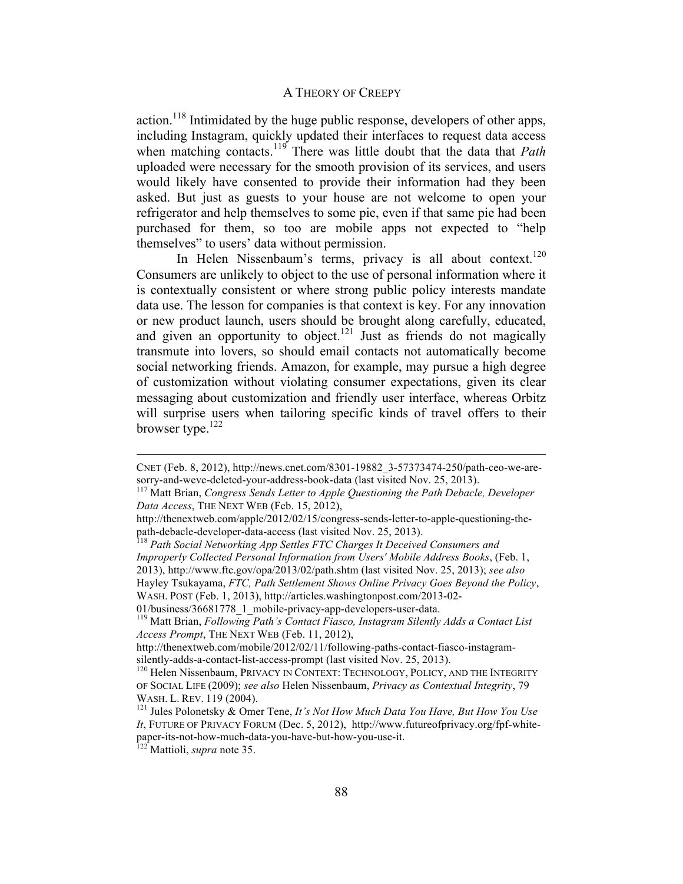action.<sup>118</sup> Intimidated by the huge public response, developers of other apps, including Instagram, quickly updated their interfaces to request data access when matching contacts.<sup>119</sup> There was little doubt that the data that *Path* uploaded were necessary for the smooth provision of its services, and users would likely have consented to provide their information had they been asked. But just as guests to your house are not welcome to open your refrigerator and help themselves to some pie, even if that same pie had been purchased for them, so too are mobile apps not expected to "help themselves" to users' data without permission.

In Helen Nissenbaum's terms, privacy is all about context.<sup>120</sup> Consumers are unlikely to object to the use of personal information where it is contextually consistent or where strong public policy interests mandate data use. The lesson for companies is that context is key. For any innovation or new product launch, users should be brought along carefully, educated, and given an opportunity to object.<sup>121</sup> Just as friends do not magically transmute into lovers, so should email contacts not automatically become social networking friends. Amazon, for example, may pursue a high degree of customization without violating consumer expectations, given its clear messaging about customization and friendly user interface, whereas Orbitz will surprise users when tailoring specific kinds of travel offers to their browser type. $^{122}$ 

 $\overline{a}$ 

CNET (Feb. 8, 2012), http://news.cnet.com/8301-19882\_3-57373474-250/path-ceo-we-aresorry-and-weve-deleted-your-address-book-data (last visited Nov. 25, 2013). 117 Matt Brian, *Congress Sends Letter to Apple Questioning the Path Debacle, Developer* 

*Data Access*, THE NEXT WEB (Feb. 15, 2012),

http://thenextweb.com/apple/2012/02/15/congress-sends-letter-to-apple-questioning-the-<br>path-debacle-developer-data-access (last visited Nov. 25, 2013).

<sup>&</sup>lt;sup>118</sup> Path Social Networking App Settles FTC Charges It Deceived Consumers and *Improperly Collected Personal Information from Users' Mobile Address Books*, (Feb. 1, 2013), http://www.ftc.gov/opa/2013/02/path.shtm (last visited Nov. 25, 2013); *see also*  Hayley Tsukayama, *FTC, Path Settlement Shows Online Privacy Goes Beyond the Policy*, WASH. POST (Feb. 1, 2013), http://articles.washingtonpost.com/2013-02-

<sup>01/</sup>business/36681778\_1\_mobile-privacy-app-developers-user-data. 119 Matt Brian, *Following Path's Contact Fiasco, Instagram Silently Adds a Contact List Access Prompt*, THE NEXT WEB (Feb. 11, 2012),

http://thenextweb.com/mobile/2012/02/11/following-paths-contact-fiasco-instagramsilently-adds-a-contact-list-access-prompt (last visited Nov. 25, 2013).<br><sup>120</sup> Helen Nissenbaum, PRIVACY IN CONTEXT: TECHNOLOGY, POLICY, AND THE INTEGRITY

OF SOCIAL LIFE (2009); *see also* Helen Nissenbaum, *Privacy as Contextual Integrity*, 79 WASH. L. REV. 119 (2004).<br><sup>121</sup> Jules Polonetsky & Omer Tene, *It's Not How Much Data You Have, But How You Use* 

*It*, FUTURE OF PRIVACY FORUM (Dec. 5, 2012), http://www.futureofprivacy.org/fpf-whitepaper-its-not-how-much-data-you-have-but-how-you-use-it. 122 Mattioli, *supra* note 35.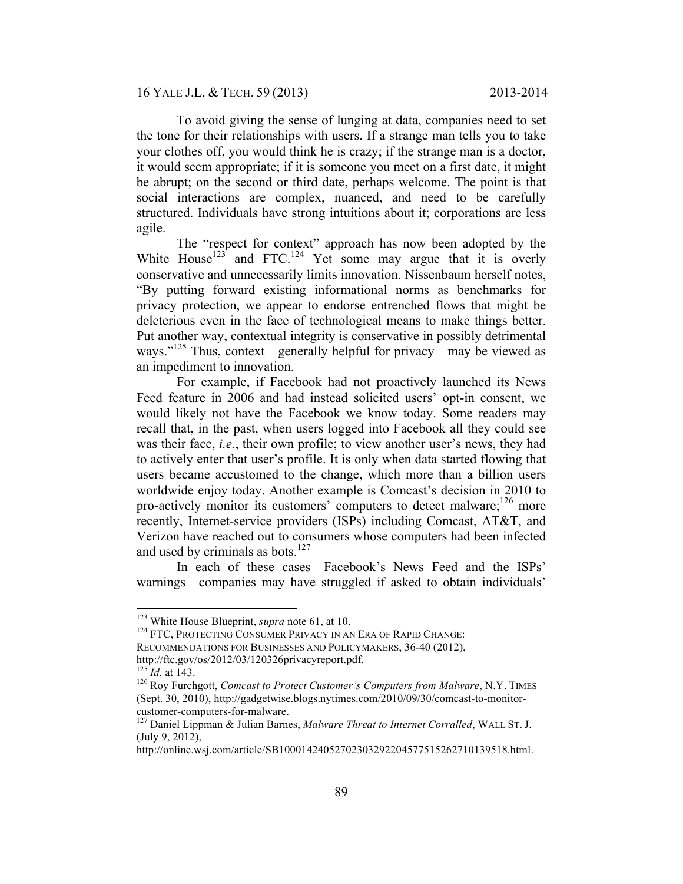To avoid giving the sense of lunging at data, companies need to set the tone for their relationships with users. If a strange man tells you to take your clothes off, you would think he is crazy; if the strange man is a doctor, it would seem appropriate; if it is someone you meet on a first date, it might be abrupt; on the second or third date, perhaps welcome. The point is that social interactions are complex, nuanced, and need to be carefully structured. Individuals have strong intuitions about it; corporations are less agile.

The "respect for context" approach has now been adopted by the White House<sup>123</sup> and FTC.<sup>124</sup> Yet some may argue that it is overly conservative and unnecessarily limits innovation. Nissenbaum herself notes, "By putting forward existing informational norms as benchmarks for privacy protection, we appear to endorse entrenched flows that might be deleterious even in the face of technological means to make things better. Put another way, contextual integrity is conservative in possibly detrimental ways."<sup>125</sup> Thus, context—generally helpful for privacy—may be viewed as an impediment to innovation.

For example, if Facebook had not proactively launched its News Feed feature in 2006 and had instead solicited users' opt-in consent, we would likely not have the Facebook we know today. Some readers may recall that, in the past, when users logged into Facebook all they could see was their face, *i.e.*, their own profile; to view another user's news, they had to actively enter that user's profile. It is only when data started flowing that users became accustomed to the change, which more than a billion users worldwide enjoy today. Another example is Comcast's decision in 2010 to pro-actively monitor its customers' computers to detect malware;  $^{126}$  more recently, Internet-service providers (ISPs) including Comcast, AT&T, and Verizon have reached out to consumers whose computers had been infected and used by criminals as bots.<sup>127</sup>

In each of these cases—Facebook's News Feed and the ISPs' warnings—companies may have struggled if asked to obtain individuals'

<sup>&</sup>lt;sup>123</sup> White House Blueprint, *supra* note 61, at 10.<br><sup>124</sup> FTC, PROTECTING CONSUMER PRIVACY IN AN ERA OF RAPID CHANGE:

RECOMMENDATIONS FOR BUSINESSES AND POLICYMAKERS, 36-40 (2012),

http://ftc.gov/os/2012/03/120326privacyreport.pdf.<br><sup>125</sup> *Id.* at 143.<br><sup>126</sup> Roy Furchgott, *Comcast to Protect Customer's Computers from Malware*, N.Y. TIMES (Sept. 30, 2010), http://gadgetwise.blogs.nytimes.com/2010/09/30/comcast-to-monitorcustomer-computers-for-malware. 127 Daniel Lippman & Julian Barnes, *Malware Threat to Internet Corralled*, WALL ST. J.

<sup>(</sup>July 9, 2012),

http://online.wsj.com/article/SB10001424052702303292204577515262710139518.html.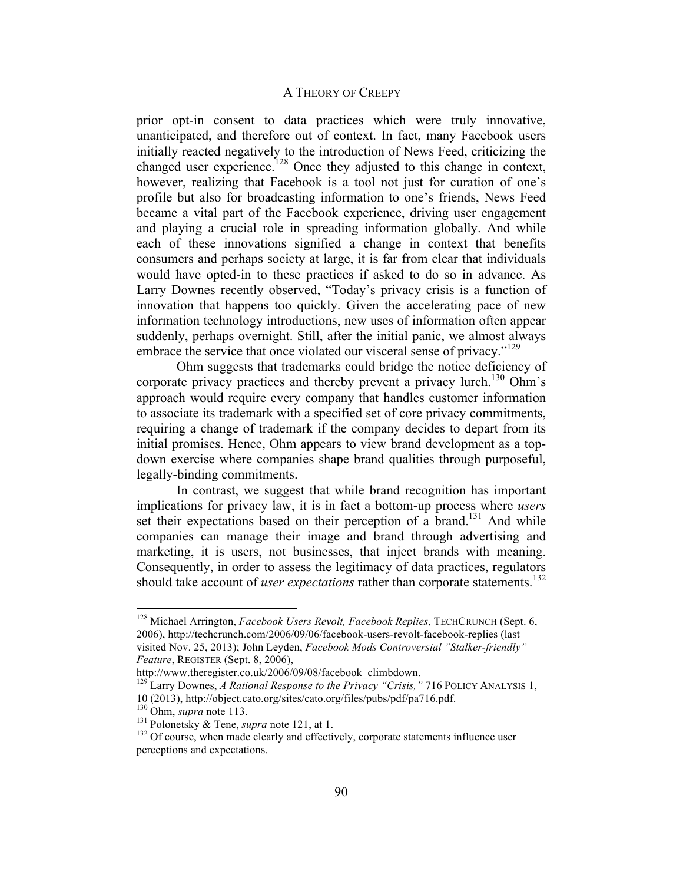prior opt-in consent to data practices which were truly innovative, unanticipated, and therefore out of context. In fact, many Facebook users initially reacted negatively to the introduction of News Feed, criticizing the changed user experience.<sup>128</sup> Once they adjusted to this change in context, however, realizing that Facebook is a tool not just for curation of one's profile but also for broadcasting information to one's friends, News Feed became a vital part of the Facebook experience, driving user engagement and playing a crucial role in spreading information globally. And while each of these innovations signified a change in context that benefits consumers and perhaps society at large, it is far from clear that individuals would have opted-in to these practices if asked to do so in advance. As Larry Downes recently observed, "Today's privacy crisis is a function of innovation that happens too quickly. Given the accelerating pace of new information technology introductions, new uses of information often appear suddenly, perhaps overnight. Still, after the initial panic, we almost always embrace the service that once violated our visceral sense of privacy."<sup>129</sup>

Ohm suggests that trademarks could bridge the notice deficiency of corporate privacy practices and thereby prevent a privacy lurch.<sup>130</sup> Ohm's approach would require every company that handles customer information to associate its trademark with a specified set of core privacy commitments, requiring a change of trademark if the company decides to depart from its initial promises. Hence, Ohm appears to view brand development as a topdown exercise where companies shape brand qualities through purposeful, legally-binding commitments.

In contrast, we suggest that while brand recognition has important implications for privacy law, it is in fact a bottom-up process where *users*  set their expectations based on their perception of a brand.<sup>131</sup> And while companies can manage their image and brand through advertising and marketing, it is users, not businesses, that inject brands with meaning. Consequently, in order to assess the legitimacy of data practices, regulators should take account of *user expectations* rather than corporate statements.<sup>132</sup>

 <sup>128</sup> Michael Arrington, *Facebook Users Revolt, Facebook Replies*, TECHCRUNCH (Sept. 6, 2006), http://techcrunch.com/2006/09/06/facebook-users-revolt-facebook-replies (last visited Nov. 25, 2013); John Leyden, *Facebook Mods Controversial "Stalker-friendly"* 

*Feature*, REGISTER (Sept. 8, 2006),<br>http://www.theregister.co.uk/2006/09/08/facebook climbdown.

<sup>&</sup>lt;sup>129</sup> Larry Downes, *A Rational Response to the Privacy "Crisis,"* 716 POLICY ANALYSIS 1, 10 (2013), http://object.cato.org/sites/cato.org/files/pubs/pdf/pa716.pdf.<br><sup>130</sup> Ohm, *supra* note 113.<br><sup>131</sup> Polonetsky & Tene, *supra* note 121, at 1.<br><sup>132</sup> Of course, when made clearly and effectively, corporate statem

perceptions and expectations.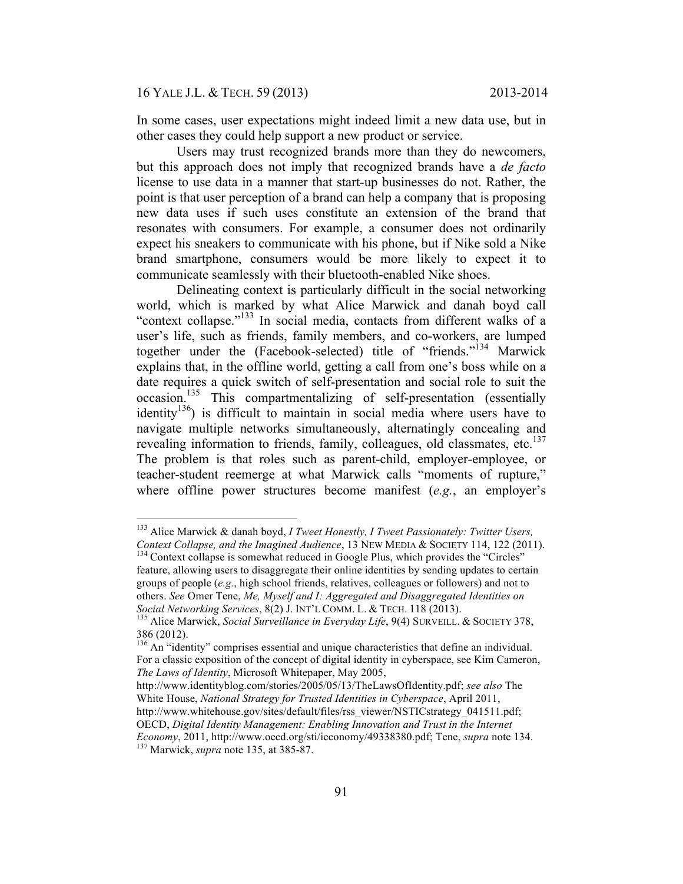16 YALE J.L. & TECH. 59 (2013) 2013-2014

In some cases, user expectations might indeed limit a new data use, but in other cases they could help support a new product or service.

Users may trust recognized brands more than they do newcomers, but this approach does not imply that recognized brands have a *de facto*  license to use data in a manner that start-up businesses do not. Rather, the point is that user perception of a brand can help a company that is proposing new data uses if such uses constitute an extension of the brand that resonates with consumers. For example, a consumer does not ordinarily expect his sneakers to communicate with his phone, but if Nike sold a Nike brand smartphone, consumers would be more likely to expect it to communicate seamlessly with their bluetooth-enabled Nike shoes.

Delineating context is particularly difficult in the social networking world, which is marked by what Alice Marwick and danah boyd call "context collapse."133 In social media, contacts from different walks of a user's life, such as friends, family members, and co-workers, are lumped together under the (Facebook-selected) title of "friends."<sup>134</sup> Marwick explains that, in the offline world, getting a call from one's boss while on a date requires a quick switch of self-presentation and social role to suit the occasion.<sup>135</sup> This compartmentalizing of self-presentation (essentially identity<sup>136</sup>) is difficult to maintain in social media where users have to navigate multiple networks simultaneously, alternatingly concealing and revealing information to friends, family, colleagues, old classmates, etc.<sup>137</sup> The problem is that roles such as parent-child, employer-employee, or teacher-student reemerge at what Marwick calls "moments of rupture," where offline power structures become manifest (*e.g.*, an employer's

 <sup>133</sup> Alice Marwick & danah boyd, *I Tweet Honestly, I Tweet Passionately: Twitter Users, Context Collapse, and the Imagined Audience*, 13 NEW MEDIA & SOCIETY 114, 122 (2011). 134 Context collapse is somewhat reduced in Google Plus, which provides the "Circles"

feature, allowing users to disaggregate their online identities by sending updates to certain groups of people (*e.g.*, high school friends, relatives, colleagues or followers) and not to others. *See* Omer Tene, *Me, Myself and I: Aggregated and Disaggregated Identities on Social Networking Services*, 8(2) J. INT'L COMM. L. & TECH. 118 (2013).<br><sup>135</sup> Alice Marwick, *Social Surveillance in Everyday Life*, 9(4) SURVEILL. & SOCIETY 378,

<sup>386 (2012).</sup>

 $136$  An "identity" comprises essential and unique characteristics that define an individual. For a classic exposition of the concept of digital identity in cyberspace, see Kim Cameron, *The Laws of Identity*, Microsoft Whitepaper, May 2005,

http://www.identityblog.com/stories/2005/05/13/TheLawsOfIdentity.pdf; *see also* The White House, *National Strategy for Trusted Identities in Cyberspace*, April 2011, http://www.whitehouse.gov/sites/default/files/rss\_viewer/NSTICstrategy\_041511.pdf; OECD, *Digital Identity Management: Enabling Innovation and Trust in the Internet Economy*, 2011, http://www.oecd.org/sti/ieconomy/49338380.pdf; Tene, *supra* note 134. 137 Marwick, *supra* note 135, at 385-87.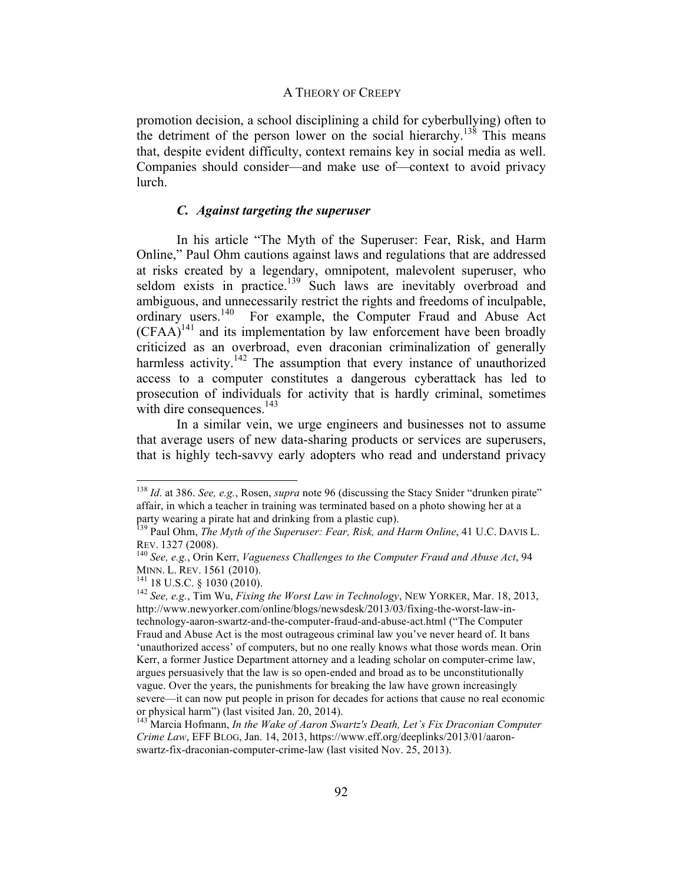promotion decision, a school disciplining a child for cyberbullying) often to the detriment of the person lower on the social hierarchy.<sup>138</sup> This means that, despite evident difficulty, context remains key in social media as well. Companies should consider—and make use of—context to avoid privacy lurch.

# *C. Against targeting the superuser*

In his article "The Myth of the Superuser: Fear, Risk, and Harm Online," Paul Ohm cautions against laws and regulations that are addressed at risks created by a legendary, omnipotent, malevolent superuser, who seldom exists in practice.<sup>139</sup> Such laws are inevitably overbroad and ambiguous, and unnecessarily restrict the rights and freedoms of inculpable, ordinary users.<sup>140</sup> For example, the Computer Fraud and Abuse Act  $(CFAA)^{141}$  and its implementation by law enforcement have been broadly criticized as an overbroad, even draconian criminalization of generally harmless activity.<sup>142</sup> The assumption that every instance of unauthorized access to a computer constitutes a dangerous cyberattack has led to prosecution of individuals for activity that is hardly criminal, sometimes with dire consequences.<sup>143</sup>

In a similar vein, we urge engineers and businesses not to assume that average users of new data-sharing products or services are superusers, that is highly tech-savvy early adopters who read and understand privacy

 <sup>138</sup> *Id*. at 386. *See, e.g.*, Rosen, *supra* note 96 (discussing the Stacy Snider "drunken pirate" affair, in which a teacher in training was terminated based on a photo showing her at a party wearing a pirate hat and drinking from a plastic cup).

<sup>139</sup> Paul Ohm, *The Myth of the Superuser: Fear, Risk, and Harm Online*, 41 U.C. DAVIS L. REV. 1327 (2008).<br><sup>140</sup> *See, e.g.*, Orin Kerr, *Vagueness Challenges to the Computer Fraud and Abuse Act*, 94

MINN. L. REV. 1561 (2010). 141 18 U.S.C. § 1030 (2010). <sup>142</sup> *See, e.g.*, Tim Wu, *Fixing the Worst Law in Technology*, NEW YORKER, Mar. 18, 2013,

http://www.newyorker.com/online/blogs/newsdesk/2013/03/fixing-the-worst-law-intechnology-aaron-swartz-and-the-computer-fraud-and-abuse-act.html ("The Computer Fraud and Abuse Act is the most outrageous criminal law you've never heard of. It bans 'unauthorized access' of computers, but no one really knows what those words mean. Orin Kerr, a former Justice Department attorney and a leading scholar on computer-crime law, argues persuasively that the law is so open-ended and broad as to be unconstitutionally vague. Over the years, the punishments for breaking the law have grown increasingly severe—it can now put people in prison for decades for actions that cause no real economic or physical harm") (last visited Jan. 20, 2014).

<sup>143</sup> Marcia Hofmann, *In the Wake of Aaron Swartz's Death, Let's Fix Draconian Computer Crime Law*, EFF BLOG, Jan. 14, 2013, https://www.eff.org/deeplinks/2013/01/aaronswartz-fix-draconian-computer-crime-law (last visited Nov. 25, 2013).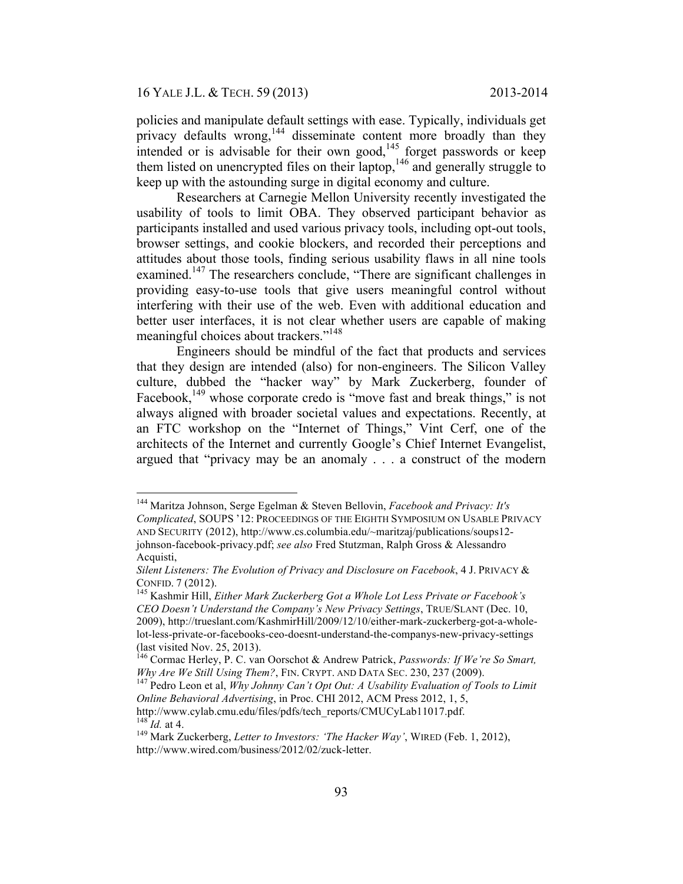policies and manipulate default settings with ease. Typically, individuals get privacy defaults wrong,<sup>144</sup> disseminate content more broadly than they intended or is advisable for their own good,<sup>145</sup> forget passwords or keep them listed on unencrypted files on their laptop,  $146$  and generally struggle to keep up with the astounding surge in digital economy and culture.

Researchers at Carnegie Mellon University recently investigated the usability of tools to limit OBA. They observed participant behavior as participants installed and used various privacy tools, including opt-out tools, browser settings, and cookie blockers, and recorded their perceptions and attitudes about those tools, finding serious usability flaws in all nine tools examined.<sup>147</sup> The researchers conclude, "There are significant challenges in providing easy-to-use tools that give users meaningful control without interfering with their use of the web. Even with additional education and better user interfaces, it is not clear whether users are capable of making meaningful choices about trackers."<sup>148</sup>

Engineers should be mindful of the fact that products and services that they design are intended (also) for non-engineers. The Silicon Valley culture, dubbed the "hacker way" by Mark Zuckerberg, founder of Facebook,  $149$  whose corporate credo is "move fast and break things," is not always aligned with broader societal values and expectations. Recently, at an FTC workshop on the "Internet of Things," Vint Cerf, one of the architects of the Internet and currently Google's Chief Internet Evangelist, argued that "privacy may be an anomaly . . . a construct of the modern

 <sup>144</sup> Maritza Johnson, Serge Egelman & Steven Bellovin, *Facebook and Privacy: It's Complicated*, SOUPS '12: PROCEEDINGS OF THE EIGHTH SYMPOSIUM ON USABLE PRIVACY AND SECURITY (2012), http://www.cs.columbia.edu/~maritzaj/publications/soups12 johnson-facebook-privacy.pdf; *see also* Fred Stutzman, Ralph Gross & Alessandro Acquisti,

*Silent Listeners: The Evolution of Privacy and Disclosure on Facebook*, 4 J. PRIVACY & CONFID. 7 (2012). 145 Kashmir Hill, *Either Mark Zuckerberg Got a Whole Lot Less Private or Facebook's* 

*CEO Doesn't Understand the Company's New Privacy Settings*, TRUE/SLANT (Dec. 10, 2009), http://trueslant.com/KashmirHill/2009/12/10/either-mark-zuckerberg-got-a-wholelot-less-private-or-facebooks-ceo-doesnt-understand-the-companys-new-privacy-settings (last visited Nov. 25, 2013).

<sup>&</sup>lt;sup>146</sup> Cormac Herley, P. C. van Oorschot & Andrew Patrick, *Passwords: If We're So Smart, Why Are We Still Using Them?*, FIN. CRYPT. AND DATA SEC. 230, 237 (2009).

<sup>&</sup>lt;sup>147</sup> Pedro Leon et al, *Why Johnny Can't Opt Out: A Usability Evaluation of Tools to Limit Online Behavioral Advertising*, in Proc. CHI 2012, ACM Press 2012, 1, 5, http://www.cylab.cmu.edu/files/pdfs/tech\_reports/CMUCyLab11017.pdf.<br><sup>148</sup> *Id.* at 4.<br><sup>149</sup> Mark Zuckerberg, *Letter to Investors: 'The Hacker Way'*, WIRED (Feb. 1, 2012),

http://www.wired.com/business/2012/02/zuck-letter.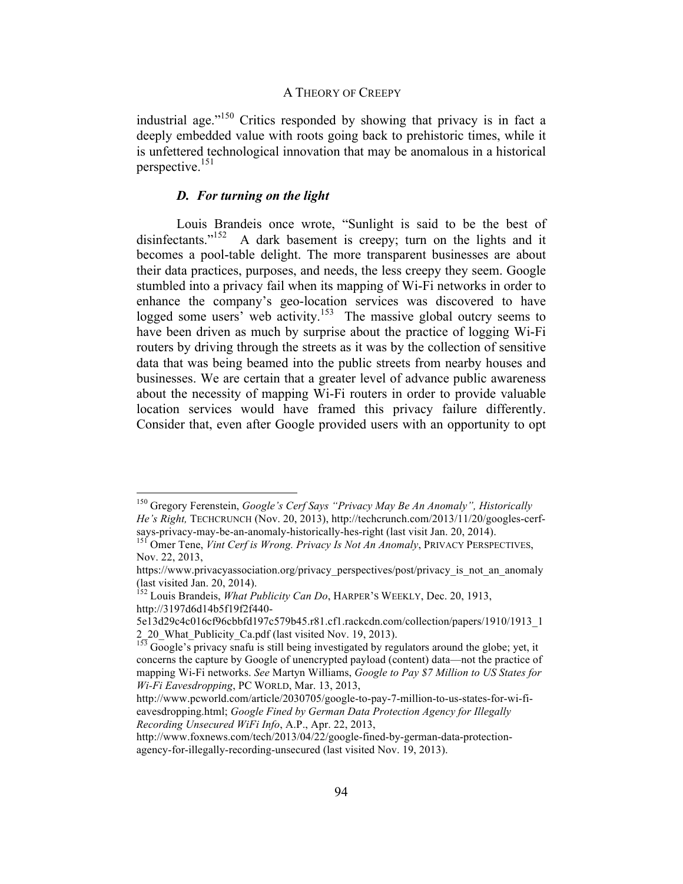industrial age."150 Critics responded by showing that privacy is in fact a deeply embedded value with roots going back to prehistoric times, while it is unfettered technological innovation that may be anomalous in a historical perspective.<sup>151</sup>

## *D. For turning on the light*

Louis Brandeis once wrote, "Sunlight is said to be the best of disinfectants."<sup>152</sup> A dark basement is creepy; turn on the lights and it becomes a pool-table delight. The more transparent businesses are about their data practices, purposes, and needs, the less creepy they seem. Google stumbled into a privacy fail when its mapping of Wi-Fi networks in order to enhance the company's geo-location services was discovered to have logged some users' web activity.<sup>153</sup> The massive global outcry seems to have been driven as much by surprise about the practice of logging Wi-Fi routers by driving through the streets as it was by the collection of sensitive data that was being beamed into the public streets from nearby houses and businesses. We are certain that a greater level of advance public awareness about the necessity of mapping Wi-Fi routers in order to provide valuable location services would have framed this privacy failure differently. Consider that, even after Google provided users with an opportunity to opt

 <sup>150</sup> Gregory Ferenstein, *Google's Cerf Says "Privacy May Be An Anomaly", Historically He's Right,* TECHCRUNCH (Nov. 20, 2013), http://techcrunch.com/2013/11/20/googles-cerfsays-privacy-may-be-an-anomaly-historically-hes-right (last visit Jan. 20, 2014). 151 Omer Tene, *Vint Cerf is Wrong. Privacy Is Not An Anomaly*, PRIVACY PERSPECTIVES,

Nov. 22, 2013,

https://www.privacyassociation.org/privacy\_perspectives/post/privacy\_is\_not\_an\_anomaly (last visited Jan. 20, 2014).

<sup>&</sup>lt;sup>152</sup> Louis Brandeis, *What Publicity Can Do*, HARPER'S WEEKLY, Dec. 20, 1913, http://3197d6d14b5f19f2f440-

<sup>5</sup>e13d29c4c016cf96cbbfd197c579b45.r81.cf1.rackcdn.com/collection/papers/1910/1913\_1

<sup>2</sup>\_20\_What\_Publicity\_Ca.pdf (last visited Nov. 19, 2013). 153 Google's privacy snafu is still being investigated by regulators around the globe; yet, it concerns the capture by Google of unencrypted payload (content) data—not the practice of mapping Wi-Fi networks. *See* Martyn Williams, *Google to Pay \$7 Million to US States for Wi-Fi Eavesdropping*, PC WORLD, Mar. 13, 2013,

http://www.pcworld.com/article/2030705/google-to-pay-7-million-to-us-states-for-wi-fieavesdropping.html; *Google Fined by German Data Protection Agency for Illegally Recording Unsecured WiFi Info*, A.P., Apr. 22, 2013,

http://www.foxnews.com/tech/2013/04/22/google-fined-by-german-data-protectionagency-for-illegally-recording-unsecured (last visited Nov. 19, 2013).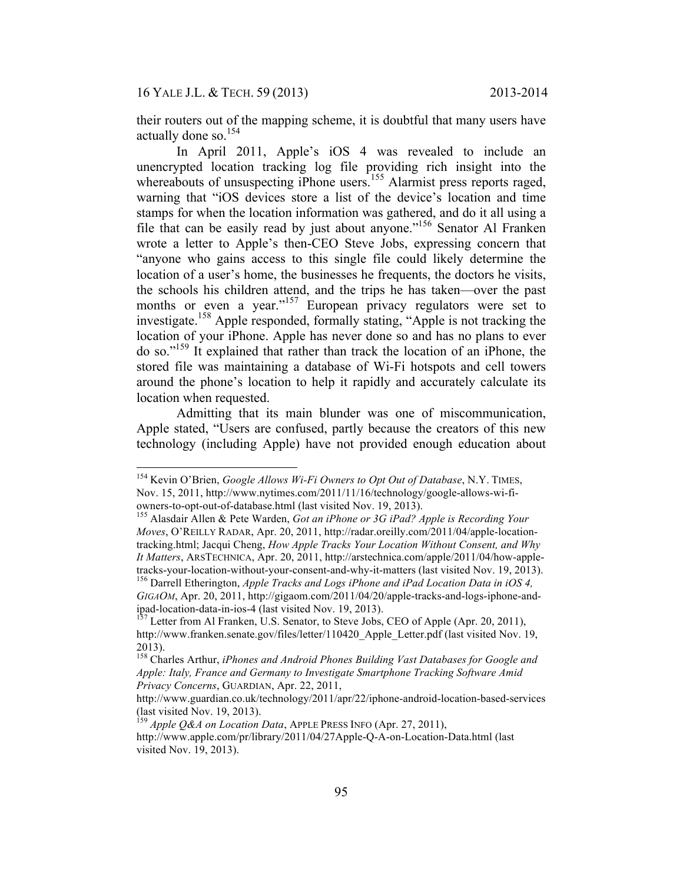their routers out of the mapping scheme, it is doubtful that many users have actually done so.<sup>154</sup>

In April 2011, Apple's iOS 4 was revealed to include an unencrypted location tracking log file providing rich insight into the whereabouts of unsuspecting iPhone users.<sup>155</sup> Alarmist press reports raged, warning that "iOS devices store a list of the device's location and time stamps for when the location information was gathered, and do it all using a file that can be easily read by just about anyone."156 Senator Al Franken wrote a letter to Apple's then-CEO Steve Jobs, expressing concern that "anyone who gains access to this single file could likely determine the location of a user's home, the businesses he frequents, the doctors he visits, the schools his children attend, and the trips he has taken—over the past months or even a year."<sup>157</sup> European privacy regulators were set to investigate.158 Apple responded, formally stating, "Apple is not tracking the location of your iPhone. Apple has never done so and has no plans to ever do so."159 It explained that rather than track the location of an iPhone, the stored file was maintaining a database of Wi-Fi hotspots and cell towers around the phone's location to help it rapidly and accurately calculate its location when requested.

Admitting that its main blunder was one of miscommunication, Apple stated, "Users are confused, partly because the creators of this new technology (including Apple) have not provided enough education about

 <sup>154</sup> Kevin O'Brien, *Google Allows Wi-Fi Owners to Opt Out of Database*, N.Y. TIMES, Nov. 15, 2011, http://www.nytimes.com/2011/11/16/technology/google-allows-wi-fi-<br>owners-to-opt-out-of-database.html (last visited Nov. 19, 2013).

<sup>&</sup>lt;sup>155</sup> Alasdair Allen & Pete Warden, *Got an iPhone or 3G iPad? Apple is Recording Your Moves*, O'REILLY RADAR, Apr. 20, 2011, http://radar.oreilly.com/2011/04/apple-locationtracking.html; Jacqui Cheng, *How Apple Tracks Your Location Without Consent, and Why It Matters*, ARSTECHNICA, Apr. 20, 2011, http://arstechnica.com/apple/2011/04/how-appletracks-your-location-without-your-consent-and-why-it-matters (last visited Nov. 19, 2013). 156 Darrell Etherington, *Apple Tracks and Logs iPhone and iPad Location Data in iOS 4,* 

*GIGAOM*, Apr. 20, 2011, http://gigaom.com/2011/04/20/apple-tracks-and-logs-iphone-and-<br>ipad-location-data-in-ios-4 (last visited Nov. 19, 2013).

Letter from Al Franken, U.S. Senator, to Steve Jobs, CEO of Apple (Apr. 20, 2011), http://www.franken.senate.gov/files/letter/110420\_Apple\_Letter.pdf (last visited Nov. 19, 2013).

<sup>158</sup> Charles Arthur, *iPhones and Android Phones Building Vast Databases for Google and Apple: Italy, France and Germany to Investigate Smartphone Tracking Software Amid Privacy Concerns*, GUARDIAN, Apr. 22, 2011,

http://www.guardian.co.uk/technology/2011/apr/22/iphone-android-location-based-services (last visited Nov. 19, 2013).

<sup>159</sup> *Apple Q&A on Location Data*, APPLE PRESS INFO (Apr. 27, 2011), http://www.apple.com/pr/library/2011/04/27Apple-Q-A-on-Location-Data.html (last visited Nov. 19, 2013).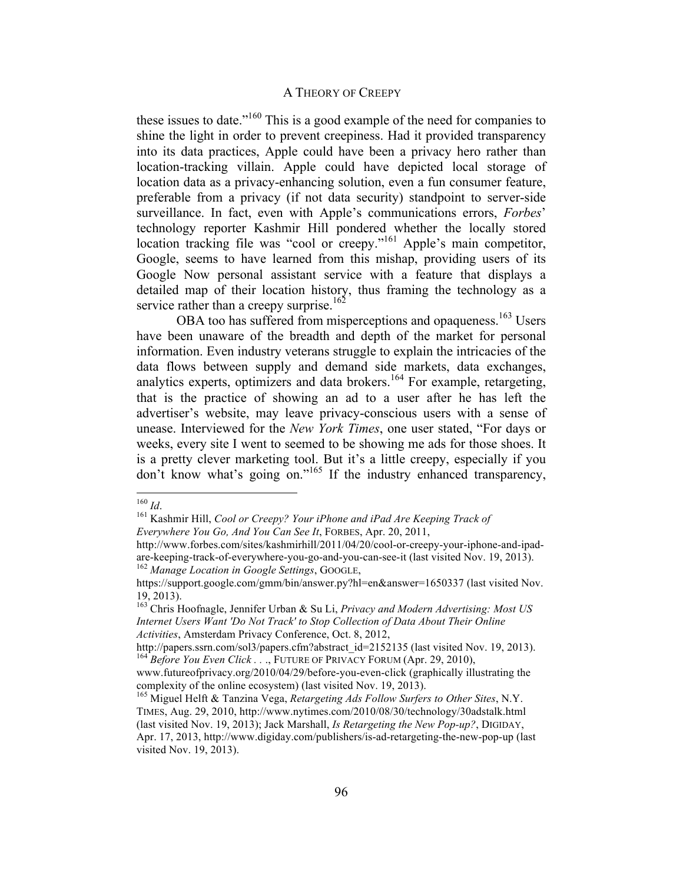these issues to date."160 This is a good example of the need for companies to shine the light in order to prevent creepiness. Had it provided transparency into its data practices, Apple could have been a privacy hero rather than location-tracking villain. Apple could have depicted local storage of location data as a privacy-enhancing solution, even a fun consumer feature, preferable from a privacy (if not data security) standpoint to server-side surveillance. In fact, even with Apple's communications errors, *Forbes*' technology reporter Kashmir Hill pondered whether the locally stored location tracking file was "cool or creepy."161 Apple's main competitor, Google, seems to have learned from this mishap, providing users of its Google Now personal assistant service with a feature that displays a detailed map of their location history, thus framing the technology as a service rather than a creepy surprise.<sup>162</sup>

OBA too has suffered from misperceptions and opaqueness.<sup>163</sup> Users have been unaware of the breadth and depth of the market for personal information. Even industry veterans struggle to explain the intricacies of the data flows between supply and demand side markets, data exchanges, analytics experts, optimizers and data brokers.<sup>164</sup> For example, retargeting, that is the practice of showing an ad to a user after he has left the advertiser's website, may leave privacy-conscious users with a sense of unease. Interviewed for the *New York Times*, one user stated, "For days or weeks, every site I went to seemed to be showing me ads for those shoes. It is a pretty clever marketing tool. But it's a little creepy, especially if you don't know what's going on."165 If the industry enhanced transparency,

<sup>&</sup>lt;sup>160</sup> *Id.* 161 *In* Kashmir Hill, *Cool or Creepy? Your iPhone and iPad Are Keeping Track of Everywhere You Go, And You Can See It*, FORBES, Apr. 20, 2011,

http://www.forbes.com/sites/kashmirhill/2011/04/20/cool-or-creepy-your-iphone-and-ipadare-keeping-track-of-everywhere-you-go-and-you-can-see-it (last visited Nov. 19, 2013). <sup>162</sup> *Manage Location in Google Settings*, GOOGLE,

https://support.google.com/gmm/bin/answer.py?hl=en&answer=1650337 (last visited Nov. 19, 2013).

<sup>163</sup> Chris Hoofnagle, Jennifer Urban & Su Li, *Privacy and Modern Advertising: Most US Internet Users Want 'Do Not Track' to Stop Collection of Data About Their Online Activities*, Amsterdam Privacy Conference, Oct. 8, 2012,

http://papers.ssrn.com/sol3/papers.cfm?abstract\_id=2152135 (last visited Nov. 19, 2013). <sup>164</sup> *Before You Even Click . .* ., FUTURE OF PRIVACY FORUM (Apr. 29, 2010),

www.futureofprivacy.org/2010/04/29/before-you-even-click (graphically illustrating the complexity of the online ecosystem) (last visited Nov. 19, 2013).

<sup>165</sup> Miguel Helft & Tanzina Vega, *Retargeting Ads Follow Surfers to Other Sites*, N.Y. TIMES, Aug. 29, 2010, http://www.nytimes.com/2010/08/30/technology/30adstalk.html (last visited Nov. 19, 2013); Jack Marshall, *Is Retargeting the New Pop-up?*, DIGIDAY, Apr. 17, 2013, http://www.digiday.com/publishers/is-ad-retargeting-the-new-pop-up (last visited Nov. 19, 2013).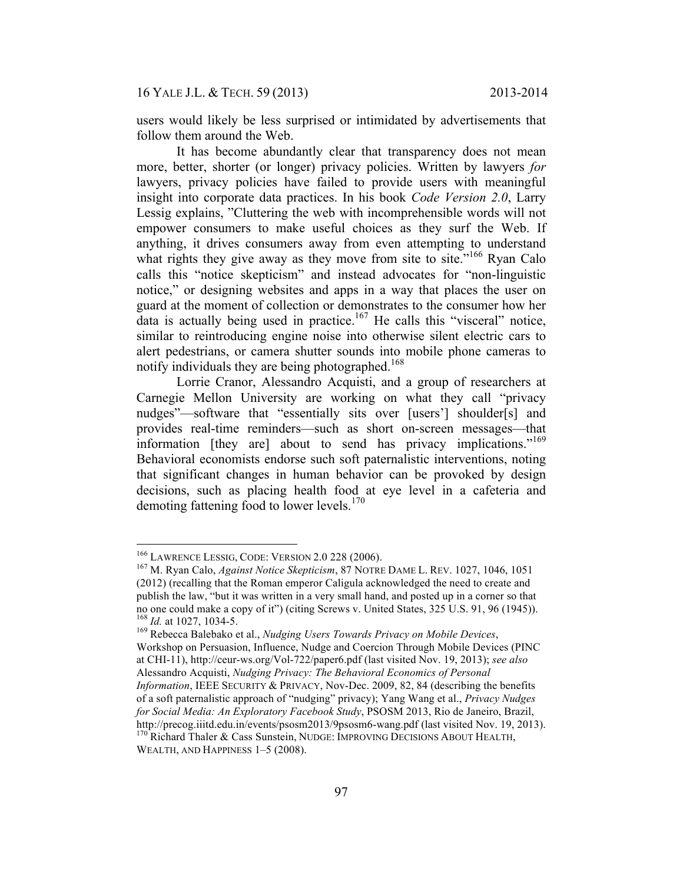users would likely be less surprised or intimidated by advertisements that follow them around the Web.

It has become abundantly clear that transparency does not mean more, better, shorter (or longer) privacy policies. Written by lawyers *for*  lawyers, privacy policies have failed to provide users with meaningful insight into corporate data practices. In his book *Code Version 2.0*, Larry Lessig explains, "Cluttering the web with incomprehensible words will not empower consumers to make useful choices as they surf the Web. If anything, it drives consumers away from even attempting to understand what rights they give away as they move from site to site.<sup>"166</sup> Ryan Calo calls this "notice skepticism" and instead advocates for "non-linguistic notice," or designing websites and apps in a way that places the user on guard at the moment of collection or demonstrates to the consumer how her data is actually being used in practice.<sup>167</sup> He calls this "visceral" notice, similar to reintroducing engine noise into otherwise silent electric cars to alert pedestrians, or camera shutter sounds into mobile phone cameras to notify individuals they are being photographed.<sup>168</sup>

Lorrie Cranor, Alessandro Acquisti, and a group of researchers at Carnegie Mellon University are working on what they call "privacy nudges"—software that "essentially sits over [users'] shoulder[s] and provides real-time reminders—such as short on-screen messages—that information [they are] about to send has privacy implications."<sup>169</sup> Behavioral economists endorse such soft paternalistic interventions, noting that significant changes in human behavior can be provoked by design decisions, such as placing health food at eye level in a cafeteria and demoting fattening food to lower levels. $170$ 

<sup>169</sup> Rebecca Balebako et al., *Nudging Users Towards Privacy on Mobile Devices*, Workshop on Persuasion, Influence, Nudge and Coercion Through Mobile Devices (PINC at CHI-11), http://ceur-ws.org/Vol-722/paper6.pdf (last visited Nov. 19, 2013); *see also* Alessandro Acquisti, *Nudging Privacy: The Behavioral Economics of Personal Information*, IEEE SECURITY & PRIVACY, Nov-Dec. 2009, 82, 84 (describing the benefits of a soft paternalistic approach of "nudging" privacy); Yang Wang et al., *Privacy Nudges for Social Media: An Exploratory Facebook Study*, PSOSM 2013, Rio de Janeiro, Brazil, http://precog.iiitd.edu.in/events/psosm2013/9psosm6-wang.pdf (last visited Nov. 19, 2013). 170 Richard Thaler & Cass Sunstein, NUDGE: IMPROVING DECISIONS ABOUT HEALTH,

WEALTH, AND HAPPINESS 1–5 (2008).

<sup>&</sup>lt;sup>166</sup> LAWRENCE LESSIG, CODE: VERSION 2.0 228 (2006).<br><sup>167</sup> M. Ryan Calo, *Against Notice Skepticism*, 87 NOTRE DAME L. REV. 1027, 1046, 1051 (2012) (recalling that the Roman emperor Caligula acknowledged the need to create and publish the law, "but it was written in a very small hand, and posted up in a corner so that no one could make a copy of it") (citing Screws v. United States, 325 U.S. 91, 96 (1945)).<br><sup>168</sup> Id. at 1027, 1034-5.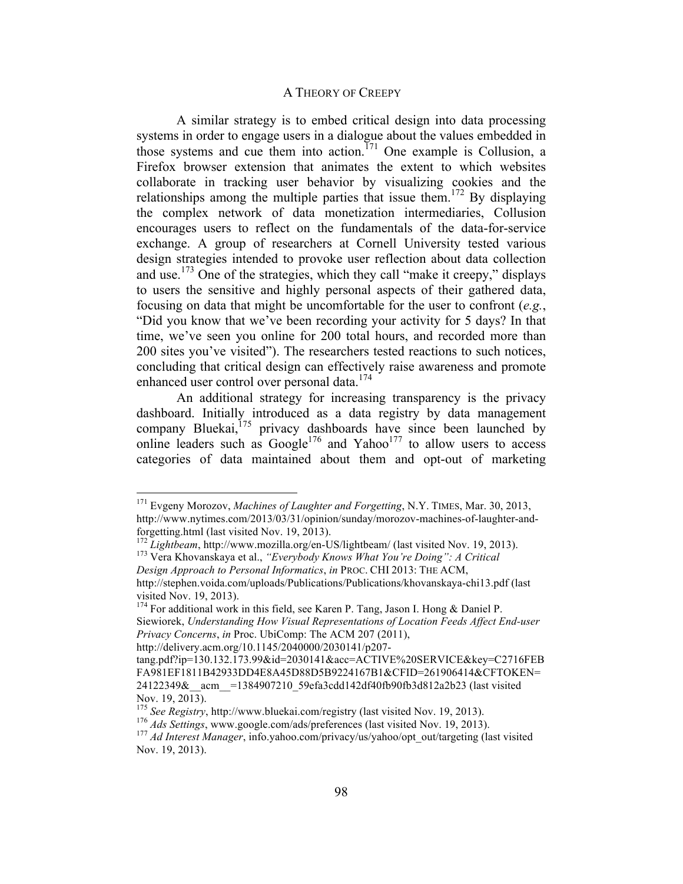A similar strategy is to embed critical design into data processing systems in order to engage users in a dialogue about the values embedded in those systems and cue them into action.<sup> $171$ </sup> One example is Collusion, a Firefox browser extension that animates the extent to which websites collaborate in tracking user behavior by visualizing cookies and the relationships among the multiple parties that issue them.<sup>172</sup> By displaying the complex network of data monetization intermediaries, Collusion encourages users to reflect on the fundamentals of the data-for-service exchange. A group of researchers at Cornell University tested various design strategies intended to provoke user reflection about data collection and use.<sup>173</sup> One of the strategies, which they call "make it creepy," displays to users the sensitive and highly personal aspects of their gathered data, focusing on data that might be uncomfortable for the user to confront (*e.g.*, "Did you know that we've been recording your activity for 5 days? In that time, we've seen you online for 200 total hours, and recorded more than 200 sites you've visited"). The researchers tested reactions to such notices, concluding that critical design can effectively raise awareness and promote enhanced user control over personal data.<sup>174</sup>

An additional strategy for increasing transparency is the privacy dashboard. Initially introduced as a data registry by data management company Bluekai,<sup>175</sup> privacy dashboards have since been launched by online leaders such as  $Google^{176}$  and  $Yahoo^{177}$  to allow users to access categories of data maintained about them and opt-out of marketing

 <sup>171</sup> Evgeny Morozov, *Machines of Laughter and Forgetting*, N.Y. TIMES, Mar. 30, 2013, http://www.nytimes.com/2013/03/31/opinion/sunday/morozov-machines-of-laughter-andforgetting.html (last visited Nov. 19, 2013). <sup>172</sup> *Lightbeam*, http://www.mozilla.org/en-US/lightbeam/ (last visited Nov. 19, 2013). 173 Vera Khovanskaya et al., *"Everybody Knows What You're Doing": A Critical*

*Design Approach to Personal Informatics*, *in* PROC. CHI 2013: THE ACM,

http://stephen.voida.com/uploads/Publications/Publications/khovanskaya-chi13.pdf (last visited Nov. 19, 2013).

 $174$  For additional work in this field, see Karen P. Tang, Jason I. Hong & Daniel P. Siewiorek, *Understanding How Visual Representations of Location Feeds Affect End-user Privacy Concerns*, *in* Proc. UbiComp: The ACM 207 (2011),

http://delivery.acm.org/10.1145/2040000/2030141/p207-

tang.pdf?ip=130.132.173.99&id=2030141&acc=ACTIVE%20SERVICE&key=C2716FEB FA981EF1811B42933DD4E8A45D88D5B9224167B1&CFID=261906414&CFTOKEN= 24122349&\_acm =1384907210\_59efa3cdd142df40fb90fb3d812a2b23 (last visited Nov. 19, 2013).<br><sup>175</sup> See Registry, http://www.bluekai.com/registry (last visited Nov. 19, 2013).

<sup>176</sup> Ads Settings, www.google.com/ads/preferences (last visited Nov. 19, 2013).<br><sup>177</sup> Ad Interest Manager, info.yahoo.com/privacy/us/yahoo/opt\_out/targeting (last visited Nov. 19, 2013).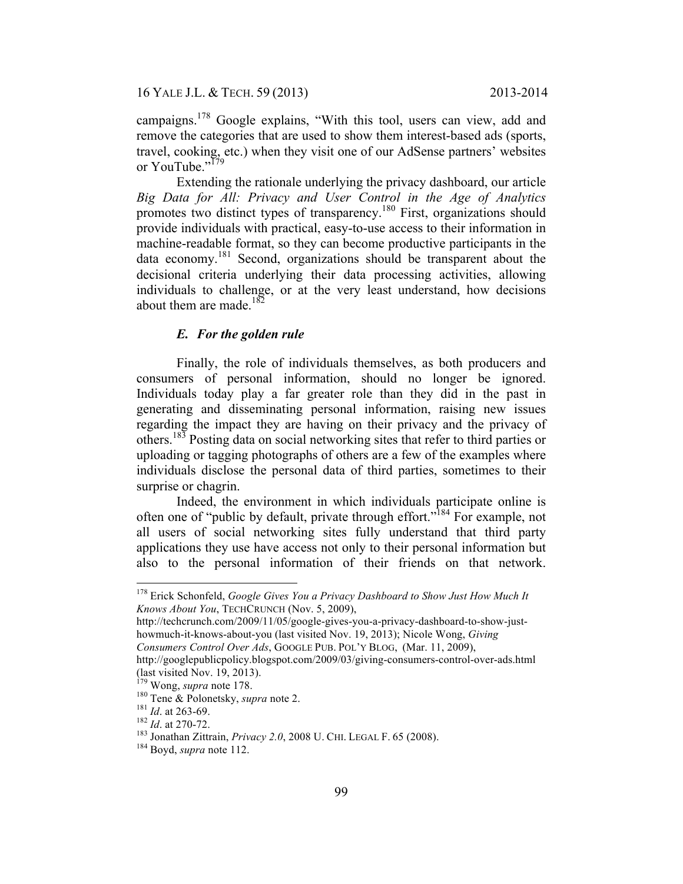campaigns.<sup>178</sup> Google explains, "With this tool, users can view, add and remove the categories that are used to show them interest-based ads (sports, travel, cooking, etc.) when they visit one of our AdSense partners' websites or YouTube."<sup>179</sup>

Extending the rationale underlying the privacy dashboard, our article *Big Data for All: Privacy and User Control in the Age of Analytics* promotes two distinct types of transparency.<sup>180</sup> First, organizations should provide individuals with practical, easy-to-use access to their information in machine-readable format, so they can become productive participants in the data economy.181 Second, organizations should be transparent about the decisional criteria underlying their data processing activities, allowing individuals to challenge, or at the very least understand, how decisions about them are made. $182$ 

## *E. For the golden rule*

Finally, the role of individuals themselves, as both producers and consumers of personal information, should no longer be ignored. Individuals today play a far greater role than they did in the past in generating and disseminating personal information, raising new issues regarding the impact they are having on their privacy and the privacy of others.<sup>183</sup> Posting data on social networking sites that refer to third parties or uploading or tagging photographs of others are a few of the examples where individuals disclose the personal data of third parties, sometimes to their surprise or chagrin.

Indeed, the environment in which individuals participate online is often one of "public by default, private through effort."184 For example, not all users of social networking sites fully understand that third party applications they use have access not only to their personal information but also to the personal information of their friends on that network.

<sup>&</sup>lt;sup>178</sup> Erick Schonfeld, *Google Gives You a Privacy Dashboard to Show Just How Much It Knows About You*, TECHCRUNCH (Nov. 5, 2009),

http://techcrunch.com/2009/11/05/google-gives-you-a-privacy-dashboard-to-show-justhowmuch-it-knows-about-you (last visited Nov. 19, 2013); Nicole Wong, *Giving Consumers Control Over Ads*, GOOGLE PUB. POL'Y BLOG, (Mar. 11, 2009),

http://googlepublicpolicy.blogspot.com/2009/03/giving-consumers-control-over-ads.html (last visited Nov. 19, 2013).

<sup>&</sup>lt;sup>179</sup> Wong, *supra* note 178.<br>
<sup>180</sup> Tene & Polonetsky, *supra* note 2.<br>
<sup>181</sup> Id. at 263-69.<br>
<sup>182</sup> Id. at 270-72.<br>
<sup>183</sup> Jonathan Zittrain, *Privacy 2.0*, 2008 U. CHI. LEGAL F. 65 (2008).<br>
<sup>184</sup> Bovd, *supra* note 112.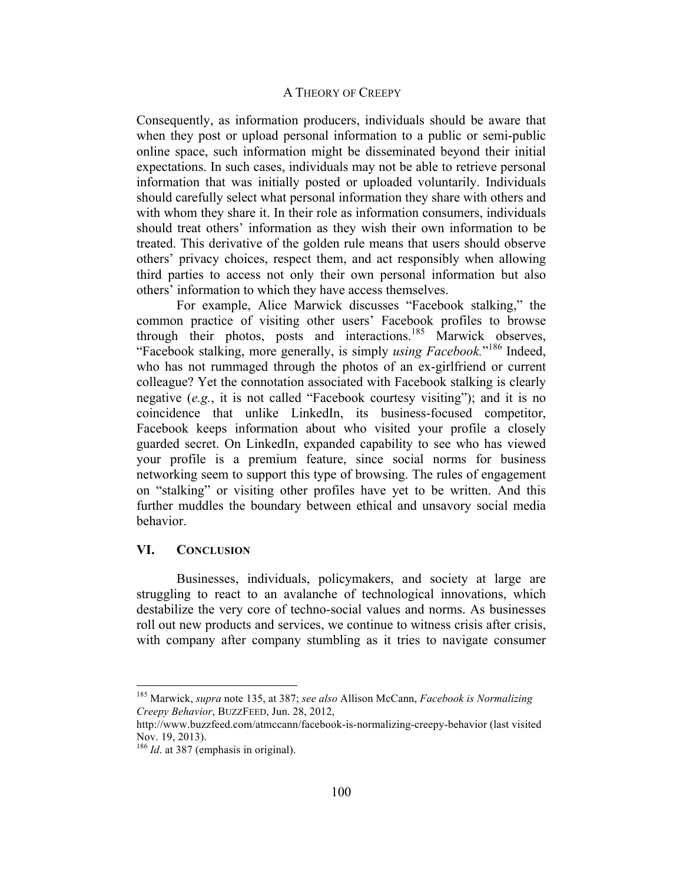Consequently, as information producers, individuals should be aware that when they post or upload personal information to a public or semi-public online space, such information might be disseminated beyond their initial expectations. In such cases, individuals may not be able to retrieve personal information that was initially posted or uploaded voluntarily. Individuals should carefully select what personal information they share with others and with whom they share it. In their role as information consumers, individuals should treat others' information as they wish their own information to be treated. This derivative of the golden rule means that users should observe others' privacy choices, respect them, and act responsibly when allowing third parties to access not only their own personal information but also others' information to which they have access themselves.

For example, Alice Marwick discusses "Facebook stalking," the common practice of visiting other users' Facebook profiles to browse through their photos, posts and interactions.<sup>185</sup> Marwick observes, "Facebook stalking, more generally, is simply *using Facebook*."<sup>186</sup> Indeed, who has not rummaged through the photos of an ex-girlfriend or current colleague? Yet the connotation associated with Facebook stalking is clearly negative (*e.g.*, it is not called "Facebook courtesy visiting"); and it is no coincidence that unlike LinkedIn, its business-focused competitor, Facebook keeps information about who visited your profile a closely guarded secret. On LinkedIn, expanded capability to see who has viewed your profile is a premium feature, since social norms for business networking seem to support this type of browsing. The rules of engagement on "stalking" or visiting other profiles have yet to be written. And this further muddles the boundary between ethical and unsavory social media behavior.

## **VI. CONCLUSION**

Businesses, individuals, policymakers, and society at large are struggling to react to an avalanche of technological innovations, which destabilize the very core of techno-social values and norms. As businesses roll out new products and services, we continue to witness crisis after crisis, with company after company stumbling as it tries to navigate consumer

 <sup>185</sup> Marwick, *supra* note 135, at 387; *see also* Allison McCann, *Facebook is Normalizing Creepy Behavior*, BUZZFEED, Jun. 28, 2012,

http://www.buzzfeed.com/atmccann/facebook-is-normalizing-creepy-behavior (last visited Nov. 19, 2013).

<sup>186</sup> *Id*. at 387 (emphasis in original).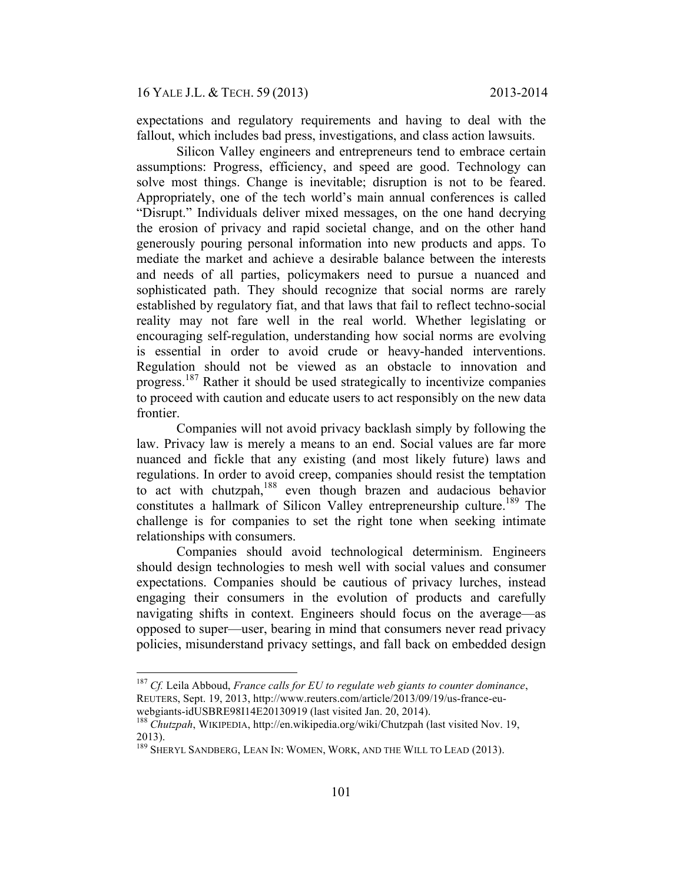expectations and regulatory requirements and having to deal with the fallout, which includes bad press, investigations, and class action lawsuits.

Silicon Valley engineers and entrepreneurs tend to embrace certain assumptions: Progress, efficiency, and speed are good. Technology can solve most things. Change is inevitable; disruption is not to be feared. Appropriately, one of the tech world's main annual conferences is called "Disrupt." Individuals deliver mixed messages, on the one hand decrying the erosion of privacy and rapid societal change, and on the other hand generously pouring personal information into new products and apps. To mediate the market and achieve a desirable balance between the interests and needs of all parties, policymakers need to pursue a nuanced and sophisticated path. They should recognize that social norms are rarely established by regulatory fiat, and that laws that fail to reflect techno-social reality may not fare well in the real world. Whether legislating or encouraging self-regulation, understanding how social norms are evolving is essential in order to avoid crude or heavy-handed interventions. Regulation should not be viewed as an obstacle to innovation and progress.187 Rather it should be used strategically to incentivize companies to proceed with caution and educate users to act responsibly on the new data frontier.

Companies will not avoid privacy backlash simply by following the law. Privacy law is merely a means to an end. Social values are far more nuanced and fickle that any existing (and most likely future) laws and regulations. In order to avoid creep, companies should resist the temptation to act with chutzpah,<sup>188</sup> even though brazen and audacious behavior constitutes a hallmark of Silicon Valley entrepreneurship culture.<sup>189</sup> The challenge is for companies to set the right tone when seeking intimate relationships with consumers.

Companies should avoid technological determinism. Engineers should design technologies to mesh well with social values and consumer expectations. Companies should be cautious of privacy lurches, instead engaging their consumers in the evolution of products and carefully navigating shifts in context. Engineers should focus on the average—as opposed to super—user, bearing in mind that consumers never read privacy policies, misunderstand privacy settings, and fall back on embedded design

 <sup>187</sup> *Cf.* Leila Abboud, *France calls for EU to regulate web giants to counter dominance*, REUTERS, Sept. 19, 2013, http://www.reuters.com/article/2013/09/19/us-france-eu-

webgiants-idUSBRE98I14E20130919 (last visited Jan. 20, 2014).<br><sup>188</sup> *Chutzpah*, WIKIPEDIA, http://en.wikipedia.org/wiki/Chutzpah (last visited Nov. 19, 2013).

<sup>&</sup>lt;sup>189</sup> SHERYL SANDBERG, LEAN IN: WOMEN, WORK, AND THE WILL TO LEAD (2013).